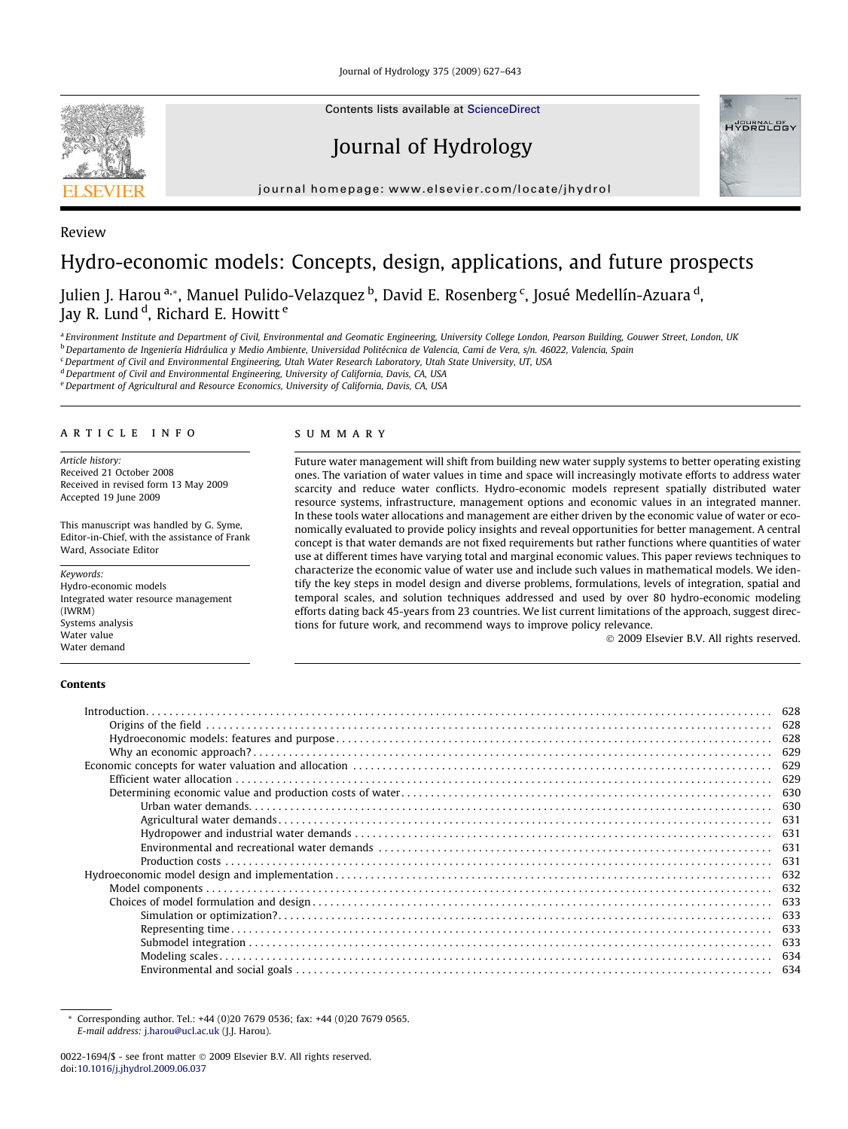Journal of Hydrology 375 (2009) 627–643



Contents lists available at [ScienceDirect](http://www.sciencedirect.com/science/journal/00221694)

# Journal of Hydrology



journal homepage: [www.elsevier.com/locate/jhydrol](http://www.elsevier.com/locate/jhydrol)

# Review

# Hydro-economic models: Concepts, design, applications, and future prospects

Julien J. Harou <sup>a,</sup>\*, Manuel Pulido-Velazquez <sup>b</sup>, David E. Rosenberg <sup>c</sup>, Josué Medellín-Azuara <sup>d</sup>, Jay R. Lund <sup>d</sup>, Richard E. Howitt <sup>e</sup>

a Environment Institute and Department of Civil, Environmental and Geomatic Engineering, University College London, Pearson Building, Gouwer Street, London, UK <sup>b</sup> Departamento de Ingeniería Hidráulica y Medio Ambiente, Universidad Politécnica de Valencia, Cami de Vera, s/n. 46022, Valencia, Spain

<sup>c</sup> Department of Civil and Environmental Engineering, Utah Water Research Laboratory, Utah State University, UT, USA

<sup>d</sup> Department of Civil and Environmental Engineering, University of California, Davis, CA, USA

e Department of Agricultural and Resource Economics, University of California, Davis, CA, USA

# article info

Article history: Received 21 October 2008 Received in revised form 13 May 2009 Accepted 19 June 2009

This manuscript was handled by G. Syme, Editor-in-Chief, with the assistance of Frank Ward, Associate Editor

Keywords: Hydro-economic models Integrated water resource management (IWRM) Systems analysis Water value Water demand

#### Contents

# SUMMARY

Future water management will shift from building new water supply systems to better operating existing ones. The variation of water values in time and space will increasingly motivate efforts to address water scarcity and reduce water conflicts. Hydro-economic models represent spatially distributed water resource systems, infrastructure, management options and economic values in an integrated manner. In these tools water allocations and management are either driven by the economic value of water or economically evaluated to provide policy insights and reveal opportunities for better management. A central concept is that water demands are not fixed requirements but rather functions where quantities of water use at different times have varying total and marginal economic values. This paper reviews techniques to characterize the economic value of water use and include such values in mathematical models. We identify the key steps in model design and diverse problems, formulations, levels of integration, spatial and temporal scales, and solution techniques addressed and used by over 80 hydro-economic modeling efforts dating back 45-years from 23 countries. We list current limitations of the approach, suggest directions for future work, and recommend ways to improve policy relevance.

© 2009 Elsevier B.V. All rights reserved.

Corresponding author. Tel.: +44 (0)20 7679 0536; fax: +44 (0)20 7679 0565. E-mail address: [j.harou@ucl.ac.uk](mailto:j.harou@ucl.ac.uk) (J.J. Harou).

<sup>0022-1694/\$ -</sup> see front matter © 2009 Elsevier B.V. All rights reserved. doi[:10.1016/j.jhydrol.2009.06.037](http://dx.doi.org/10.1016/j.jhydrol.2009.06.037)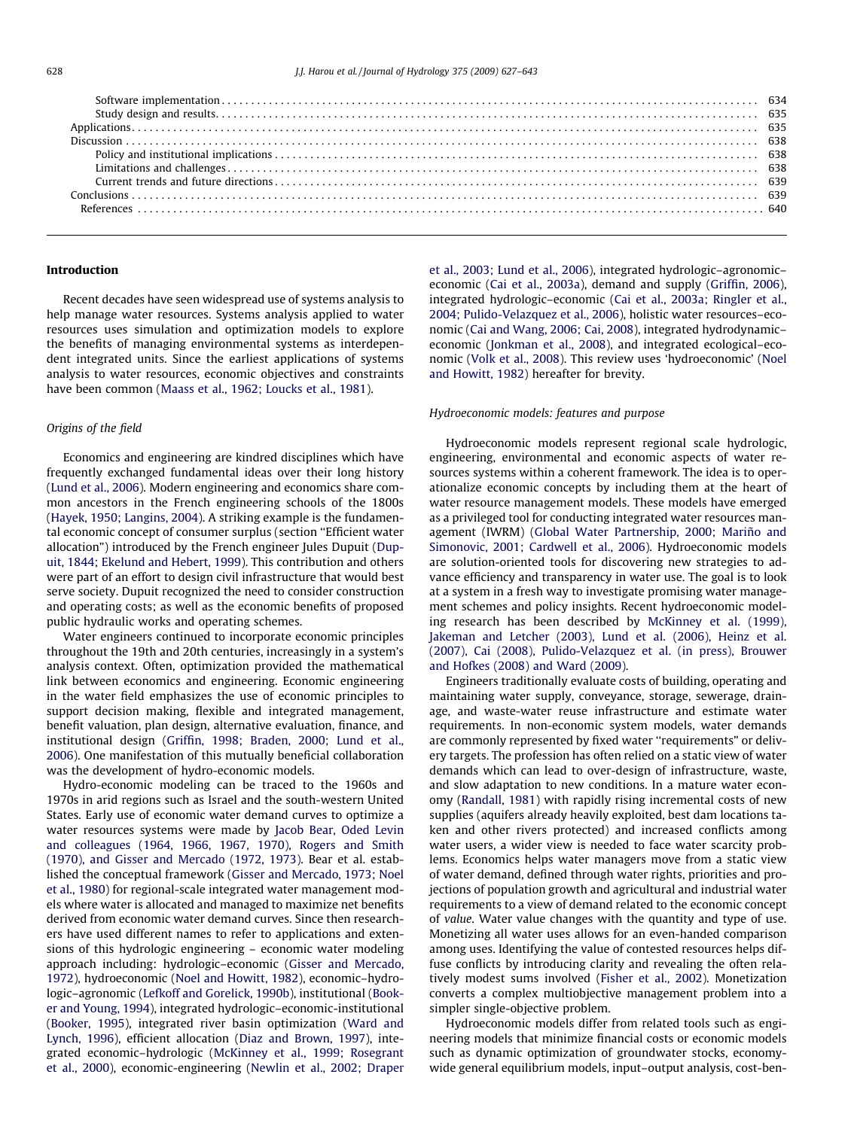#### Introduction

Recent decades have seen widespread use of systems analysis to help manage water resources. Systems analysis applied to water resources uses simulation and optimization models to explore the benefits of managing environmental systems as interdependent integrated units. Since the earliest applications of systems analysis to water resources, economic objectives and constraints have been common ([Maass et al., 1962; Loucks et al., 1981](#page-15-0)).

# Origins of the field

Economics and engineering are kindred disciplines which have frequently exchanged fundamental ideas over their long history ([Lund et al., 2006\)](#page-15-0). Modern engineering and economics share common ancestors in the French engineering schools of the 1800s ([Hayek, 1950; Langins, 2004](#page-14-0)). A striking example is the fundamental economic concept of consumer surplus (section ''Efficient water allocation") introduced by the French engineer Jules Dupuit ([Dup](#page-14-0)[uit, 1844; Ekelund and Hebert, 1999](#page-14-0)). This contribution and others were part of an effort to design civil infrastructure that would best serve society. Dupuit recognized the need to consider construction and operating costs; as well as the economic benefits of proposed public hydraulic works and operating schemes.

Water engineers continued to incorporate economic principles throughout the 19th and 20th centuries, increasingly in a system's analysis context. Often, optimization provided the mathematical link between economics and engineering. Economic engineering in the water field emphasizes the use of economic principles to support decision making, flexible and integrated management, benefit valuation, plan design, alternative evaluation, finance, and institutional design [\(Griffin, 1998; Braden, 2000; Lund et al.,](#page-14-0) [2006\)](#page-14-0). One manifestation of this mutually beneficial collaboration was the development of hydro-economic models.

Hydro-economic modeling can be traced to the 1960s and 1970s in arid regions such as Israel and the south-western United States. Early use of economic water demand curves to optimize a water resources systems were made by [Jacob Bear, Oded Levin](#page-13-0) [and colleagues \(1964, 1966, 1967, 1970\),](#page-13-0) [Rogers and Smith](#page-15-0) [\(1970\), and Gisser and Mercado \(1972, 1973\)](#page-15-0). Bear et al. established the conceptual framework ([Gisser and Mercado, 1973; Noel](#page-14-0) [et al., 1980\)](#page-14-0) for regional-scale integrated water management models where water is allocated and managed to maximize net benefits derived from economic water demand curves. Since then researchers have used different names to refer to applications and extensions of this hydrologic engineering – economic water modeling approach including: hydrologic–economic [\(Gisser and Mercado,](#page-14-0) [1972\)](#page-14-0), hydroeconomic [\(Noel and Howitt, 1982\)](#page-15-0), economic–hydrologic–agronomic ([Lefkoff and Gorelick, 1990b](#page-14-0)), institutional ([Book](#page-13-0)[er and Young, 1994](#page-13-0)), integrated hydrologic–economic-institutional ([Booker, 1995\)](#page-13-0), integrated river basin optimization [\(Ward and](#page-16-0) [Lynch, 1996](#page-16-0)), efficient allocation [\(Diaz and Brown, 1997\)](#page-14-0), integrated economic–hydrologic [\(McKinney et al., 1999; Rosegrant](#page-15-0) [et al., 2000\)](#page-15-0), economic-engineering [\(Newlin et al., 2002; Draper](#page-15-0) [et al., 2003; Lund et al., 2006\)](#page-15-0), integrated hydrologic–agronomic– economic [\(Cai et al., 2003a\)](#page-13-0), demand and supply [\(Griffin, 2006\)](#page-14-0), integrated hydrologic–economic ([Cai et al., 2003a; Ringler et al.,](#page-13-0) [2004; Pulido-Velazquez et al., 2006](#page-13-0)), holistic water resources–economic [\(Cai and Wang, 2006; Cai, 2008](#page-13-0)), integrated hydrodynamic– economic ([Jonkman et al., 2008\)](#page-14-0), and integrated ecological–economic [\(Volk et al., 2008](#page-16-0)). This review uses 'hydroeconomic' [\(Noel](#page-15-0) and [Howitt,](#page-15-0) 1982) hereafter for brevity.

## Hydroeconomic models: features and purpose

Hydroeconomic models represent regional scale hydrologic, engineering, environmental and economic aspects of water resources systems within a coherent framework. The idea is to operationalize economic concepts by including them at the heart of water resource management models. These models have emerged as a privileged tool for conducting integrated water resources management (IWRM) ([Global Water Partnership, 2000; Mariño and](#page-14-0) [Simonovic, 2001; Cardwell et al., 2006](#page-14-0)). Hydroeconomic models are solution-oriented tools for discovering new strategies to advance efficiency and transparency in water use. The goal is to look at a system in a fresh way to investigate promising water management schemes and policy insights. Recent hydroeconomic modeling research has been described by [McKinney et al. \(1999\),](#page-15-0) [Jakeman and Letcher \(2003\), Lund et al. \(2006\), Heinz et al.](#page-15-0) [\(2007\), Cai \(2008\), Pulido-Velazquez et al. \(in press\), Brouwer](#page-15-0) [and Hofkes \(2008\) and Ward \(2009\).](#page-15-0)

Engineers traditionally evaluate costs of building, operating and maintaining water supply, conveyance, storage, sewerage, drainage, and waste-water reuse infrastructure and estimate water requirements. In non-economic system models, water demands are commonly represented by fixed water ''requirements" or delivery targets. The profession has often relied on a static view of water demands which can lead to over-design of infrastructure, waste, and slow adaptation to new conditions. In a mature water economy [\(Randall, 1981](#page-15-0)) with rapidly rising incremental costs of new supplies (aquifers already heavily exploited, best dam locations taken and other rivers protected) and increased conflicts among water users, a wider view is needed to face water scarcity problems. Economics helps water managers move from a static view of water demand, defined through water rights, priorities and projections of population growth and agricultural and industrial water requirements to a view of demand related to the economic concept of value. Water value changes with the quantity and type of use. Monetizing all water uses allows for an even-handed comparison among uses. Identifying the value of contested resources helps diffuse conflicts by introducing clarity and revealing the often relatively modest sums involved [\(Fisher et al., 2002](#page-14-0)). Monetization converts a complex multiobjective management problem into a simpler single-objective problem.

Hydroeconomic models differ from related tools such as engineering models that minimize financial costs or economic models such as dynamic optimization of groundwater stocks, economywide general equilibrium models, input–output analysis, cost-ben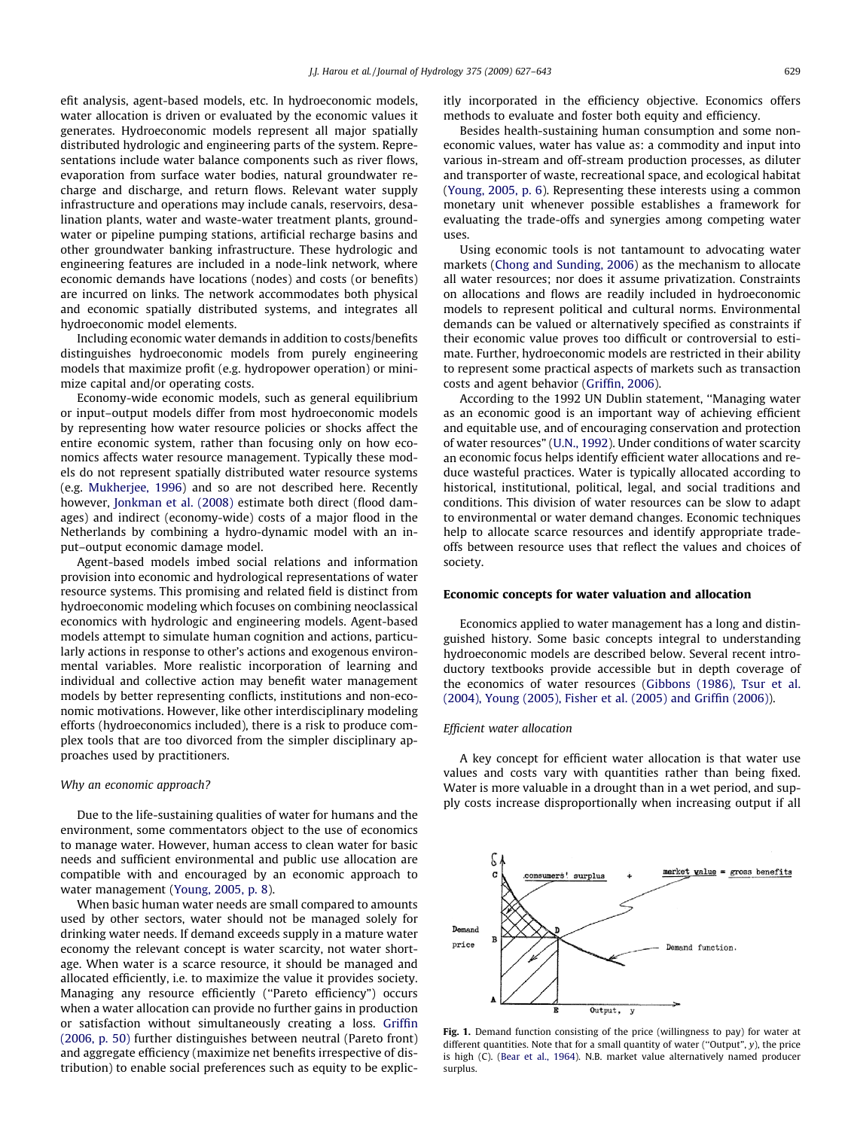<span id="page-2-0"></span>efit analysis, agent-based models, etc. In hydroeconomic models, water allocation is driven or evaluated by the economic values it generates. Hydroeconomic models represent all major spatially distributed hydrologic and engineering parts of the system. Representations include water balance components such as river flows, evaporation from surface water bodies, natural groundwater recharge and discharge, and return flows. Relevant water supply infrastructure and operations may include canals, reservoirs, desalination plants, water and waste-water treatment plants, groundwater or pipeline pumping stations, artificial recharge basins and other groundwater banking infrastructure. These hydrologic and engineering features are included in a node-link network, where economic demands have locations (nodes) and costs (or benefits) are incurred on links. The network accommodates both physical and economic spatially distributed systems, and integrates all hydroeconomic model elements.

Including economic water demands in addition to costs/benefits distinguishes hydroeconomic models from purely engineering models that maximize profit (e.g. hydropower operation) or minimize capital and/or operating costs.

Economy-wide economic models, such as general equilibrium or input–output models differ from most hydroeconomic models by representing how water resource policies or shocks affect the entire economic system, rather than focusing only on how economics affects water resource management. Typically these models do not represent spatially distributed water resource systems (e.g. [Mukherjee, 1996\)](#page-15-0) and so are not described here. Recently however, [Jonkman et al. \(2008\)](#page-14-0) estimate both direct (flood damages) and indirect (economy-wide) costs of a major flood in the Netherlands by combining a hydro-dynamic model with an input–output economic damage model.

Agent-based models imbed social relations and information provision into economic and hydrological representations of water resource systems. This promising and related field is distinct from hydroeconomic modeling which focuses on combining neoclassical economics with hydrologic and engineering models. Agent-based models attempt to simulate human cognition and actions, particularly actions in response to other's actions and exogenous environmental variables. More realistic incorporation of learning and individual and collective action may benefit water management models by better representing conflicts, institutions and non-economic motivations. However, like other interdisciplinary modeling efforts (hydroeconomics included), there is a risk to produce complex tools that are too divorced from the simpler disciplinary approaches used by practitioners.

# Why an economic approach?

Due to the life-sustaining qualities of water for humans and the environment, some commentators object to the use of economics to manage water. However, human access to clean water for basic needs and sufficient environmental and public use allocation are compatible with and encouraged by an economic approach to water management [\(Young, 2005, p. 8](#page-16-0)).

When basic human water needs are small compared to amounts used by other sectors, water should not be managed solely for drinking water needs. If demand exceeds supply in a mature water economy the relevant concept is water scarcity, not water shortage. When water is a scarce resource, it should be managed and allocated efficiently, i.e. to maximize the value it provides society. Managing any resource efficiently (''Pareto efficiency") occurs when a water allocation can provide no further gains in production or satisfaction without simultaneously creating a loss. [Griffin](#page-14-0) [\(2006, p. 50\)](#page-14-0) further distinguishes between neutral (Pareto front) and aggregate efficiency (maximize net benefits irrespective of distribution) to enable social preferences such as equity to be explicitly incorporated in the efficiency objective. Economics offers methods to evaluate and foster both equity and efficiency.

Besides health-sustaining human consumption and some noneconomic values, water has value as: a commodity and input into various in-stream and off-stream production processes, as diluter and transporter of waste, recreational space, and ecological habitat ([Young, 2005, p. 6\)](#page-16-0). Representing these interests using a common monetary unit whenever possible establishes a framework for evaluating the trade-offs and synergies among competing water uses.

Using economic tools is not tantamount to advocating water markets ([Chong and Sunding, 2006](#page-13-0)) as the mechanism to allocate all water resources; nor does it assume privatization. Constraints on allocations and flows are readily included in hydroeconomic models to represent political and cultural norms. Environmental demands can be valued or alternatively specified as constraints if their economic value proves too difficult or controversial to estimate. Further, hydroeconomic models are restricted in their ability to represent some practical aspects of markets such as transaction costs and agent behavior [\(Griffin, 2006\)](#page-14-0).

According to the 1992 UN Dublin statement, ''Managing water as an economic good is an important way of achieving efficient and equitable use, and of encouraging conservation and protection of water resources" ([U.N., 1992](#page-16-0)). Under conditions of water scarcity an economic focus helps identify efficient water allocations and reduce wasteful practices. Water is typically allocated according to historical, institutional, political, legal, and social traditions and conditions. This division of water resources can be slow to adapt to environmental or water demand changes. Economic techniques help to allocate scarce resources and identify appropriate tradeoffs between resource uses that reflect the values and choices of society.

### Economic concepts for water valuation and allocation

Economics applied to water management has a long and distinguished history. Some basic concepts integral to understanding hydroeconomic models are described below. Several recent introductory textbooks provide accessible but in depth coverage of the economics of water resources [\(Gibbons \(1986\), Tsur et al.](#page-14-0) [\(2004\), Young \(2005\), Fisher et al. \(2005\) and Griffin \(2006\)\)](#page-14-0).

#### Efficient water allocation

A key concept for efficient water allocation is that water use values and costs vary with quantities rather than being fixed. Water is more valuable in a drought than in a wet period, and supply costs increase disproportionally when increasing output if all



Fig. 1. Demand function consisting of the price (willingness to pay) for water at different quantities. Note that for a small quantity of water (''Output", y), the price is high (C). ([Bear et al., 1964](#page-13-0)). N.B. market value alternatively named producer surplus.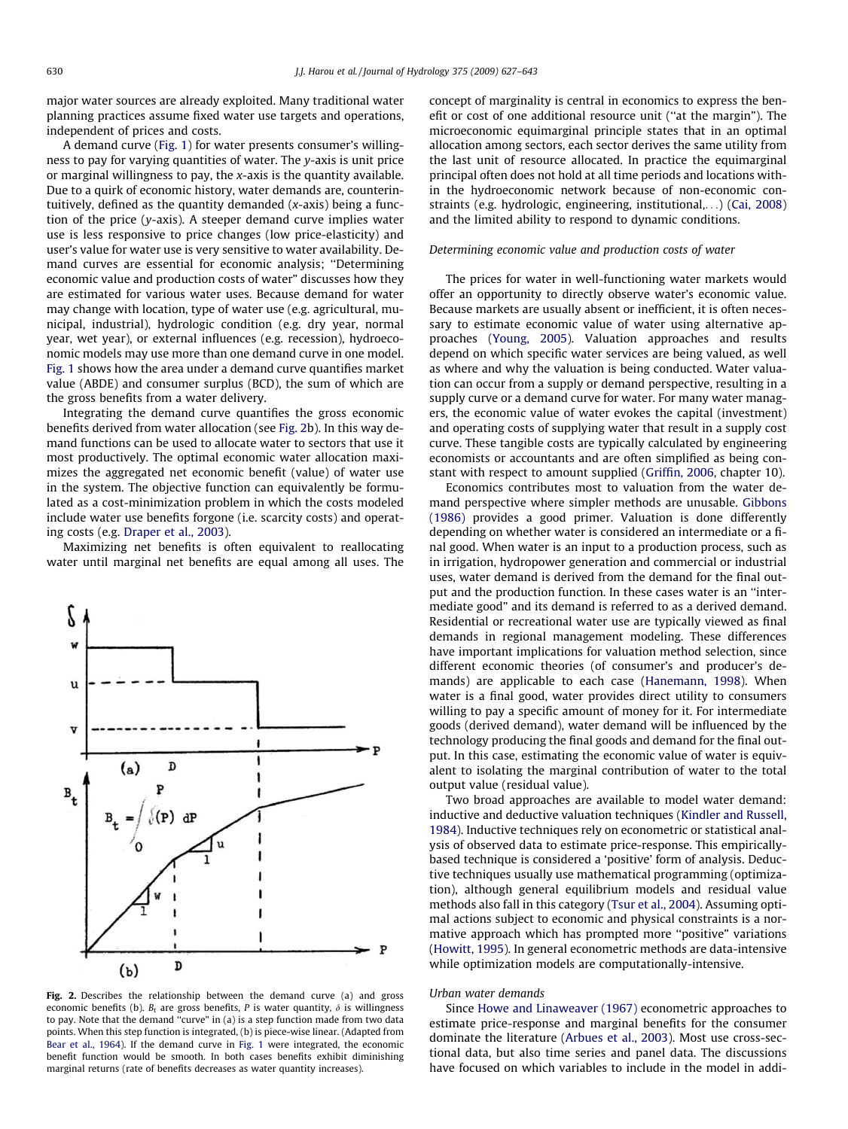major water sources are already exploited. Many traditional water planning practices assume fixed water use targets and operations, independent of prices and costs.

A demand curve ([Fig. 1\)](#page-2-0) for water presents consumer's willingness to pay for varying quantities of water. The y-axis is unit price or marginal willingness to pay, the x-axis is the quantity available. Due to a quirk of economic history, water demands are, counterintuitively, defined as the quantity demanded (x-axis) being a function of the price (y-axis). A steeper demand curve implies water use is less responsive to price changes (low price-elasticity) and user's value for water use is very sensitive to water availability. Demand curves are essential for economic analysis; ''Determining economic value and production costs of water" discusses how they are estimated for various water uses. Because demand for water may change with location, type of water use (e.g. agricultural, municipal, industrial), hydrologic condition (e.g. dry year, normal year, wet year), or external influences (e.g. recession), hydroeconomic models may use more than one demand curve in one model. [Fig. 1](#page-2-0) shows how the area under a demand curve quantifies market value (ABDE) and consumer surplus (BCD), the sum of which are the gross benefits from a water delivery.

Integrating the demand curve quantifies the gross economic benefits derived from water allocation (see Fig. 2b). In this way demand functions can be used to allocate water to sectors that use it most productively. The optimal economic water allocation maximizes the aggregated net economic benefit (value) of water use in the system. The objective function can equivalently be formulated as a cost-minimization problem in which the costs modeled include water use benefits forgone (i.e. scarcity costs) and operating costs (e.g. [Draper et al., 2003\)](#page-14-0).

Maximizing net benefits is often equivalent to reallocating water until marginal net benefits are equal among all uses. The



Fig. 2. Describes the relationship between the demand curve (a) and gross economic benefits (b).  $B_t$  are gross benefits, P is water quantity,  $\delta$  is willingness to pay. Note that the demand ''curve" in (a) is a step function made from two data points. When this step function is integrated, (b) is piece-wise linear. (Adapted from [Bear et al., 1964\)](#page-13-0). If the demand curve in [Fig. 1](#page-2-0) were integrated, the economic benefit function would be smooth. In both cases benefits exhibit diminishing marginal returns (rate of benefits decreases as water quantity increases).

concept of marginality is central in economics to express the benefit or cost of one additional resource unit (''at the margin"). The microeconomic equimarginal principle states that in an optimal allocation among sectors, each sector derives the same utility from the last unit of resource allocated. In practice the equimarginal principal often does not hold at all time periods and locations within the hydroeconomic network because of non-economic constraints (e.g. hydrologic, engineering, institutional,...) [\(Cai, 2008\)](#page-13-0) and the limited ability to respond to dynamic conditions.

# Determining economic value and production costs of water

The prices for water in well-functioning water markets would offer an opportunity to directly observe water's economic value. Because markets are usually absent or inefficient, it is often necessary to estimate economic value of water using alternative approaches [\(Young, 2005](#page-16-0)). Valuation approaches and results depend on which specific water services are being valued, as well as where and why the valuation is being conducted. Water valuation can occur from a supply or demand perspective, resulting in a supply curve or a demand curve for water. For many water managers, the economic value of water evokes the capital (investment) and operating costs of supplying water that result in a supply cost curve. These tangible costs are typically calculated by engineering economists or accountants and are often simplified as being constant with respect to amount supplied ([Griffin, 2006,](#page-14-0) chapter 10).

Economics contributes most to valuation from the water demand perspective where simpler methods are unusable. [Gibbons](#page-14-0) [\(1986\)](#page-14-0) provides a good primer. Valuation is done differently depending on whether water is considered an intermediate or a final good. When water is an input to a production process, such as in irrigation, hydropower generation and commercial or industrial uses, water demand is derived from the demand for the final output and the production function. In these cases water is an ''intermediate good" and its demand is referred to as a derived demand. Residential or recreational water use are typically viewed as final demands in regional management modeling. These differences have important implications for valuation method selection, since different economic theories (of consumer's and producer's demands) are applicable to each case [\(Hanemann, 1998](#page-14-0)). When water is a final good, water provides direct utility to consumers willing to pay a specific amount of money for it. For intermediate goods (derived demand), water demand will be influenced by the technology producing the final goods and demand for the final output. In this case, estimating the economic value of water is equivalent to isolating the marginal contribution of water to the total output value (residual value).

Two broad approaches are available to model water demand: inductive and deductive valuation techniques [\(Kindler and Russell,](#page-14-0) [1984\)](#page-14-0). Inductive techniques rely on econometric or statistical analysis of observed data to estimate price-response. This empiricallybased technique is considered a 'positive' form of analysis. Deductive techniques usually use mathematical programming (optimization), although general equilibrium models and residual value methods also fall in this category ([Tsur et al., 2004\)](#page-16-0). Assuming optimal actions subject to economic and physical constraints is a normative approach which has prompted more ''positive" variations ([Howitt, 1995](#page-14-0)). In general econometric methods are data-intensive while optimization models are computationally-intensive.

# Urban water demands

Since [Howe and Linaweaver \(1967\)](#page-14-0) econometric approaches to estimate price-response and marginal benefits for the consumer dominate the literature [\(Arbues et al., 2003](#page-13-0)). Most use cross-sectional data, but also time series and panel data. The discussions have focused on which variables to include in the model in addi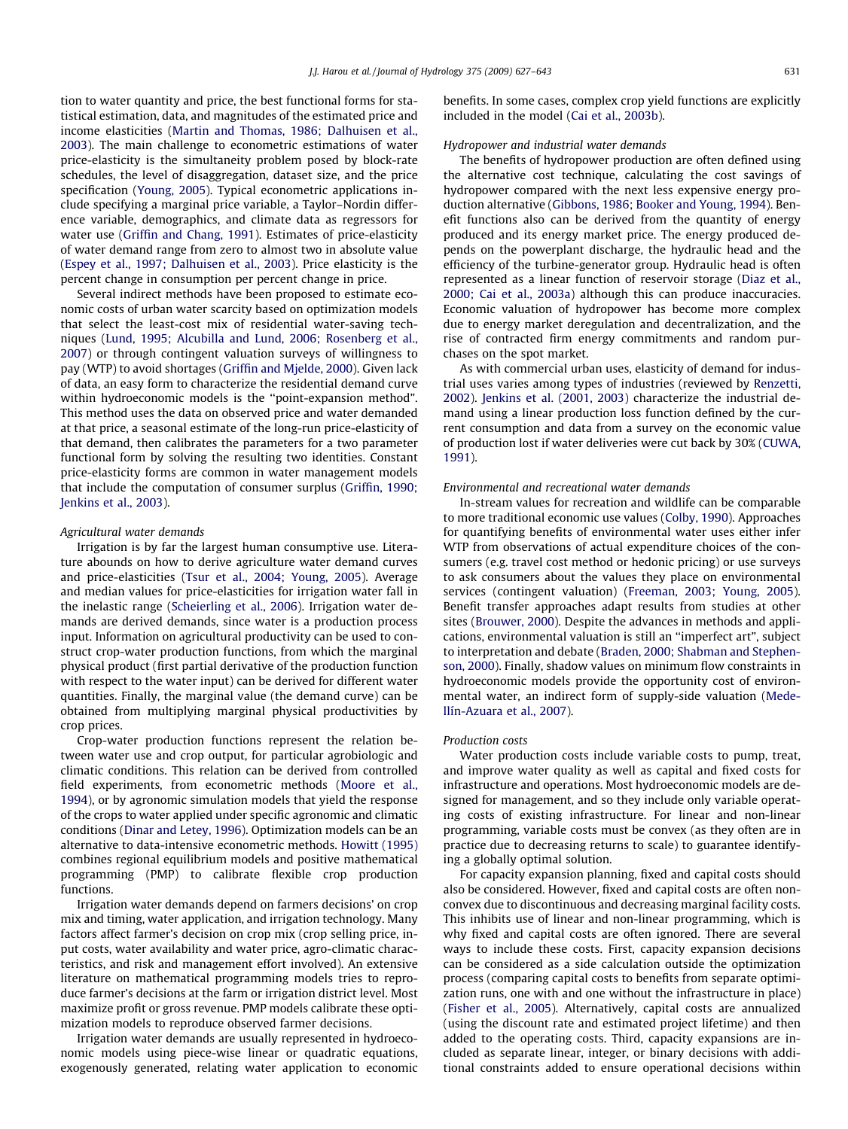tion to water quantity and price, the best functional forms for statistical estimation, data, and magnitudes of the estimated price and income elasticities [\(Martin and Thomas, 1986; Dalhuisen et al.,](#page-15-0) [2003](#page-15-0)). The main challenge to econometric estimations of water price-elasticity is the simultaneity problem posed by block-rate schedules, the level of disaggregation, dataset size, and the price specification [\(Young, 2005\)](#page-16-0). Typical econometric applications include specifying a marginal price variable, a Taylor–Nordin difference variable, demographics, and climate data as regressors for water use ([Griffin and Chang, 1991\)](#page-14-0). Estimates of price-elasticity of water demand range from zero to almost two in absolute value ([Espey et al., 1997; Dalhuisen et al., 2003\)](#page-14-0). Price elasticity is the percent change in consumption per percent change in price.

Several indirect methods have been proposed to estimate economic costs of urban water scarcity based on optimization models that select the least-cost mix of residential water-saving techniques [\(Lund, 1995; Alcubilla and Lund, 2006; Rosenberg et al.,](#page-15-0) [2007](#page-15-0)) or through contingent valuation surveys of willingness to pay (WTP) to avoid shortages ([Griffin and Mjelde, 2000\)](#page-14-0). Given lack of data, an easy form to characterize the residential demand curve within hydroeconomic models is the ''point-expansion method". This method uses the data on observed price and water demanded at that price, a seasonal estimate of the long-run price-elasticity of that demand, then calibrates the parameters for a two parameter functional form by solving the resulting two identities. Constant price-elasticity forms are common in water management models that include the computation of consumer surplus ([Griffin, 1990;](#page-14-0) [Jenkins et al., 2003\)](#page-14-0).

#### Agricultural water demands

Irrigation is by far the largest human consumptive use. Literature abounds on how to derive agriculture water demand curves and price-elasticities ([Tsur et al., 2004; Young, 2005\)](#page-16-0). Average and median values for price-elasticities for irrigation water fall in the inelastic range ([Scheierling et al., 2006\)](#page-15-0). Irrigation water demands are derived demands, since water is a production process input. Information on agricultural productivity can be used to construct crop-water production functions, from which the marginal physical product (first partial derivative of the production function with respect to the water input) can be derived for different water quantities. Finally, the marginal value (the demand curve) can be obtained from multiplying marginal physical productivities by crop prices.

Crop-water production functions represent the relation between water use and crop output, for particular agrobiologic and climatic conditions. This relation can be derived from controlled field experiments, from econometric methods [\(Moore et al.,](#page-15-0) [1994\)](#page-15-0), or by agronomic simulation models that yield the response of the crops to water applied under specific agronomic and climatic conditions [\(Dinar and Letey, 1996\)](#page-14-0). Optimization models can be an alternative to data-intensive econometric methods. [Howitt \(1995\)](#page-14-0) combines regional equilibrium models and positive mathematical programming (PMP) to calibrate flexible crop production functions.

Irrigation water demands depend on farmers decisions' on crop mix and timing, water application, and irrigation technology. Many factors affect farmer's decision on crop mix (crop selling price, input costs, water availability and water price, agro-climatic characteristics, and risk and management effort involved). An extensive literature on mathematical programming models tries to reproduce farmer's decisions at the farm or irrigation district level. Most maximize profit or gross revenue. PMP models calibrate these optimization models to reproduce observed farmer decisions.

Irrigation water demands are usually represented in hydroeconomic models using piece-wise linear or quadratic equations, exogenously generated, relating water application to economic benefits. In some cases, complex crop yield functions are explicitly included in the model [\(Cai et al., 2003b](#page-13-0)).

#### Hydropower and industrial water demands

The benefits of hydropower production are often defined using the alternative cost technique, calculating the cost savings of hydropower compared with the next less expensive energy production alternative [\(Gibbons, 1986; Booker and Young, 1994](#page-14-0)). Benefit functions also can be derived from the quantity of energy produced and its energy market price. The energy produced depends on the powerplant discharge, the hydraulic head and the efficiency of the turbine-generator group. Hydraulic head is often represented as a linear function of reservoir storage [\(Diaz et al.,](#page-14-0) [2000; Cai et al., 2003a\)](#page-14-0) although this can produce inaccuracies. Economic valuation of hydropower has become more complex due to energy market deregulation and decentralization, and the rise of contracted firm energy commitments and random purchases on the spot market.

As with commercial urban uses, elasticity of demand for industrial uses varies among types of industries (reviewed by [Renzetti,](#page-15-0) [2002](#page-15-0)). [Jenkins et al. \(2001, 2003\)](#page-14-0) characterize the industrial demand using a linear production loss function defined by the current consumption and data from a survey on the economic value of production lost if water deliveries were cut back by 30% [\(CUWA,](#page-13-0) [1991\)](#page-13-0).

#### Environmental and recreational water demands

In-stream values for recreation and wildlife can be comparable to more traditional economic use values [\(Colby, 1990\)](#page-13-0). Approaches for quantifying benefits of environmental water uses either infer WTP from observations of actual expenditure choices of the consumers (e.g. travel cost method or hedonic pricing) or use surveys to ask consumers about the values they place on environmental services (contingent valuation) ([Freeman, 2003; Young, 2005\)](#page-14-0). Benefit transfer approaches adapt results from studies at other sites [\(Brouwer, 2000](#page-13-0)). Despite the advances in methods and applications, environmental valuation is still an ''imperfect art", subject to interpretation and debate [\(Braden, 2000; Shabman and Stephen](#page-13-0)[son, 2000](#page-13-0)). Finally, shadow values on minimum flow constraints in hydroeconomic models provide the opportunity cost of environmental water, an indirect form of supply-side valuation [\(Mede](#page-15-0)[llín-Azuara et al., 2007](#page-15-0)).

#### Production costs

Water production costs include variable costs to pump, treat, and improve water quality as well as capital and fixed costs for infrastructure and operations. Most hydroeconomic models are designed for management, and so they include only variable operating costs of existing infrastructure. For linear and non-linear programming, variable costs must be convex (as they often are in practice due to decreasing returns to scale) to guarantee identifying a globally optimal solution.

For capacity expansion planning, fixed and capital costs should also be considered. However, fixed and capital costs are often nonconvex due to discontinuous and decreasing marginal facility costs. This inhibits use of linear and non-linear programming, which is why fixed and capital costs are often ignored. There are several ways to include these costs. First, capacity expansion decisions can be considered as a side calculation outside the optimization process (comparing capital costs to benefits from separate optimization runs, one with and one without the infrastructure in place) ([Fisher et al., 2005](#page-14-0)). Alternatively, capital costs are annualized (using the discount rate and estimated project lifetime) and then added to the operating costs. Third, capacity expansions are included as separate linear, integer, or binary decisions with additional constraints added to ensure operational decisions within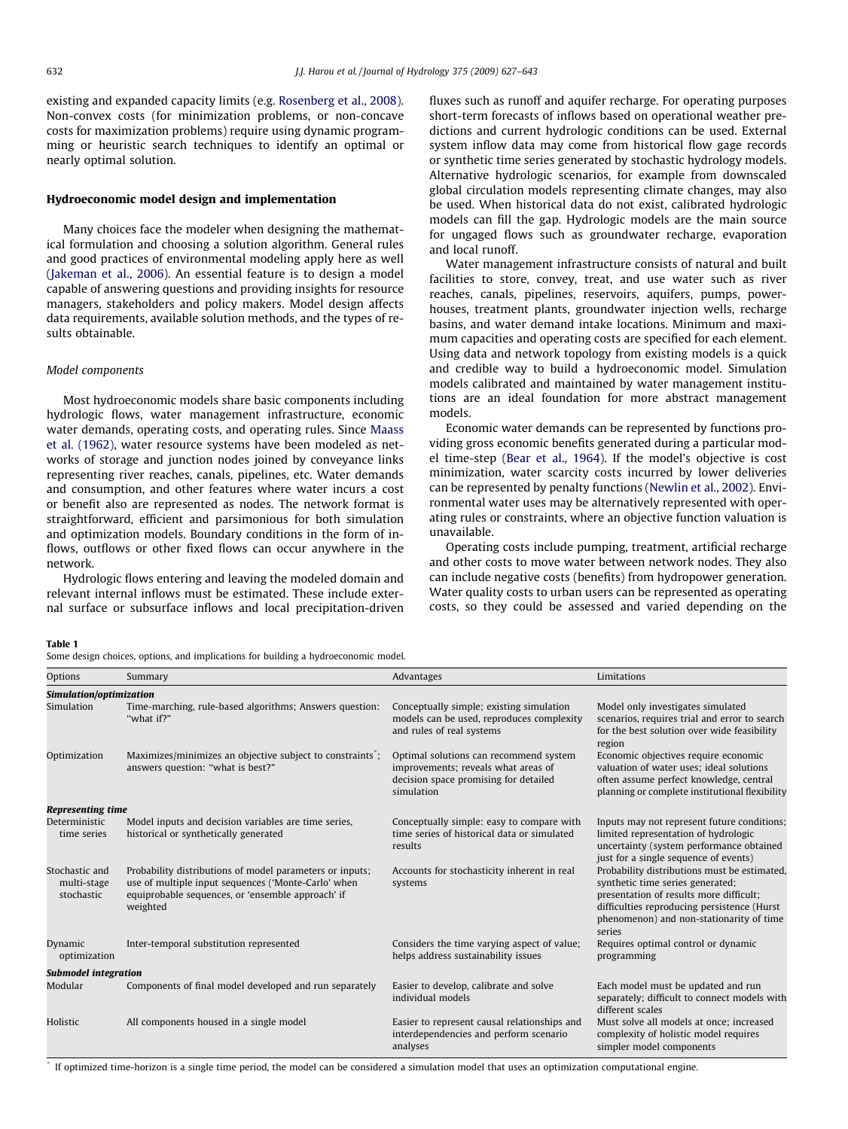<span id="page-5-0"></span>existing and expanded capacity limits (e.g. [Rosenberg et al., 2008\)](#page-15-0). Non-convex costs (for minimization problems, or non-concave costs for maximization problems) require using dynamic programming or heuristic search techniques to identify an optimal or nearly optimal solution.

# Hydroeconomic model design and implementation

Many choices face the modeler when designing the mathematical formulation and choosing a solution algorithm. General rules and good practices of environmental modeling apply here as well ([Jakeman et al., 2006](#page-14-0)). An essential feature is to design a model capable of answering questions and providing insights for resource managers, stakeholders and policy makers. Model design affects data requirements, available solution methods, and the types of results obtainable.

# Model components

Most hydroeconomic models share basic components including hydrologic flows, water management infrastructure, economic water demands, operating costs, and operating rules. Since [Maass](#page-15-0) [et al. \(1962\)](#page-15-0), water resource systems have been modeled as networks of storage and junction nodes joined by conveyance links representing river reaches, canals, pipelines, etc. Water demands and consumption, and other features where water incurs a cost or benefit also are represented as nodes. The network format is straightforward, efficient and parsimonious for both simulation and optimization models. Boundary conditions in the form of inflows, outflows or other fixed flows can occur anywhere in the network.

Hydrologic flows entering and leaving the modeled domain and relevant internal inflows must be estimated. These include external surface or subsurface inflows and local precipitation-driven fluxes such as runoff and aquifer recharge. For operating purposes short-term forecasts of inflows based on operational weather predictions and current hydrologic conditions can be used. External system inflow data may come from historical flow gage records or synthetic time series generated by stochastic hydrology models. Alternative hydrologic scenarios, for example from downscaled global circulation models representing climate changes, may also be used. When historical data do not exist, calibrated hydrologic models can fill the gap. Hydrologic models are the main source for ungaged flows such as groundwater recharge, evaporation and local runoff.

Water management infrastructure consists of natural and built facilities to store, convey, treat, and use water such as river reaches, canals, pipelines, reservoirs, aquifers, pumps, powerhouses, treatment plants, groundwater injection wells, recharge basins, and water demand intake locations. Minimum and maximum capacities and operating costs are specified for each element. Using data and network topology from existing models is a quick and credible way to build a hydroeconomic model. Simulation models calibrated and maintained by water management institutions are an ideal foundation for more abstract management models.

Economic water demands can be represented by functions providing gross economic benefits generated during a particular model time-step ([Bear et al., 1964\)](#page-13-0). If the model's objective is cost minimization, water scarcity costs incurred by lower deliveries can be represented by penalty functions [\(Newlin et al., 2002](#page-15-0)). Environmental water uses may be alternatively represented with operating rules or constraints, where an objective function valuation is unavailable.

Operating costs include pumping, treatment, artificial recharge and other costs to move water between network nodes. They also can include negative costs (benefits) from hydropower generation. Water quality costs to urban users can be represented as operating costs, so they could be assessed and varied depending on the

#### Table 1

Some design choices, options, and implications for building a hydroeconomic model.

| Options                                     | Summary                                                                                                                                                                          | Advantages                                                                                                                           | Limitations                                                                                                                                                                                                                      |  |  |  |
|---------------------------------------------|----------------------------------------------------------------------------------------------------------------------------------------------------------------------------------|--------------------------------------------------------------------------------------------------------------------------------------|----------------------------------------------------------------------------------------------------------------------------------------------------------------------------------------------------------------------------------|--|--|--|
| Simulation/optimization                     |                                                                                                                                                                                  |                                                                                                                                      |                                                                                                                                                                                                                                  |  |  |  |
| Simulation                                  | Time-marching, rule-based algorithms; Answers question:<br>"what if?"                                                                                                            | Conceptually simple; existing simulation<br>models can be used, reproduces complexity<br>and rules of real systems                   | Model only investigates simulated<br>scenarios, requires trial and error to search<br>for the best solution over wide feasibility<br>region                                                                                      |  |  |  |
| Optimization                                | Maximizes/minimizes an objective subject to constraints <sup>*</sup> ;<br>answers question: "what is best?"                                                                      | Optimal solutions can recommend system<br>improvements; reveals what areas of<br>decision space promising for detailed<br>simulation | Economic objectives require economic<br>valuation of water uses: ideal solutions<br>often assume perfect knowledge, central<br>planning or complete institutional flexibility                                                    |  |  |  |
| <b>Representing time</b>                    |                                                                                                                                                                                  |                                                                                                                                      |                                                                                                                                                                                                                                  |  |  |  |
| Deterministic<br>time series                | Model inputs and decision variables are time series,<br>historical or synthetically generated                                                                                    | Conceptually simple: easy to compare with<br>time series of historical data or simulated<br>results                                  | Inputs may not represent future conditions;<br>limited representation of hydrologic<br>uncertainty (system performance obtained<br>just for a single sequence of events)                                                         |  |  |  |
| Stochastic and<br>multi-stage<br>stochastic | Probability distributions of model parameters or inputs;<br>use of multiple input sequences ('Monte-Carlo' when<br>equiprobable sequences, or 'ensemble approach' if<br>weighted | Accounts for stochasticity inherent in real<br>systems                                                                               | Probability distributions must be estimated,<br>synthetic time series generated;<br>presentation of results more difficult;<br>difficulties reproducing persistence (Hurst<br>phenomenon) and non-stationarity of time<br>series |  |  |  |
| Dynamic<br>optimization                     | Inter-temporal substitution represented                                                                                                                                          | Considers the time varying aspect of value;<br>helps address sustainability issues                                                   | Requires optimal control or dynamic<br>programming                                                                                                                                                                               |  |  |  |
| <b>Submodel integration</b>                 |                                                                                                                                                                                  |                                                                                                                                      |                                                                                                                                                                                                                                  |  |  |  |
| Modular                                     | Components of final model developed and run separately                                                                                                                           | Easier to develop, calibrate and solve<br>individual models                                                                          | Each model must be updated and run<br>separately; difficult to connect models with<br>different scales                                                                                                                           |  |  |  |
| Holistic                                    | All components housed in a single model                                                                                                                                          | Easier to represent causal relationships and<br>interdependencies and perform scenario<br>analyses                                   | Must solve all models at once; increased<br>complexity of holistic model requires<br>simpler model components                                                                                                                    |  |  |  |

\* If optimized time-horizon is a single time period, the model can be considered a simulation model that uses an optimization computational engine.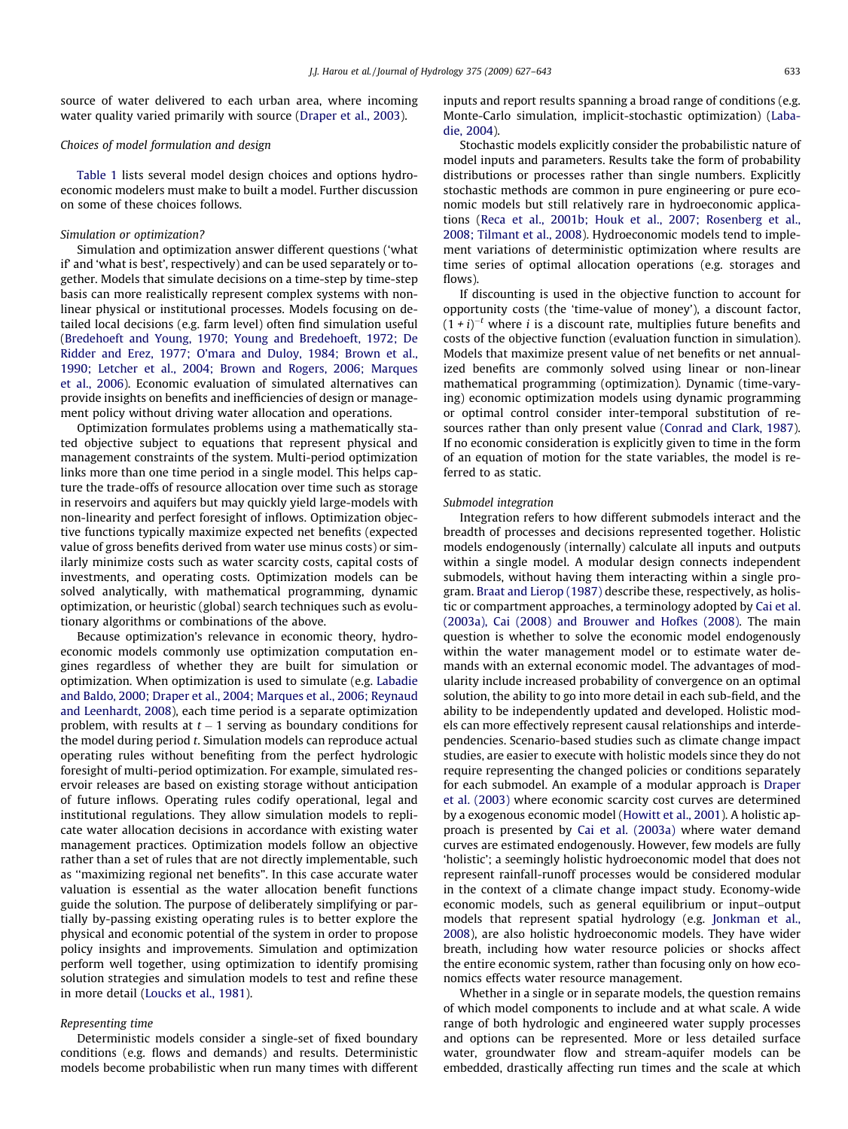source of water delivered to each urban area, where incoming water quality varied primarily with source ([Draper et al., 2003](#page-14-0)).

# Choices of model formulation and design

[Table 1](#page-5-0) lists several model design choices and options hydroeconomic modelers must make to built a model. Further discussion on some of these choices follows.

# Simulation or optimization?

Simulation and optimization answer different questions ('what if' and 'what is best', respectively) and can be used separately or together. Models that simulate decisions on a time-step by time-step basis can more realistically represent complex systems with nonlinear physical or institutional processes. Models focusing on detailed local decisions (e.g. farm level) often find simulation useful ([Bredehoeft and Young, 1970; Young and Bredehoeft, 1972; De](#page-13-0) [Ridder and Erez, 1977; O'mara and Duloy, 1984; Brown et al.,](#page-13-0) [1990; Letcher et al., 2004; Brown and Rogers, 2006; Marques](#page-13-0) [et al., 2006\)](#page-13-0). Economic evaluation of simulated alternatives can provide insights on benefits and inefficiencies of design or management policy without driving water allocation and operations.

Optimization formulates problems using a mathematically stated objective subject to equations that represent physical and management constraints of the system. Multi-period optimization links more than one time period in a single model. This helps capture the trade-offs of resource allocation over time such as storage in reservoirs and aquifers but may quickly yield large-models with non-linearity and perfect foresight of inflows. Optimization objective functions typically maximize expected net benefits (expected value of gross benefits derived from water use minus costs) or similarly minimize costs such as water scarcity costs, capital costs of investments, and operating costs. Optimization models can be solved analytically, with mathematical programming, dynamic optimization, or heuristic (global) search techniques such as evolutionary algorithms or combinations of the above.

Because optimization's relevance in economic theory, hydroeconomic models commonly use optimization computation engines regardless of whether they are built for simulation or optimization. When optimization is used to simulate (e.g. [Labadie](#page-14-0) [and Baldo, 2000; Draper et al., 2004; Marques et al., 2006; Reynaud](#page-14-0) [and Leenhardt, 2008\)](#page-14-0), each time period is a separate optimization problem, with results at  $t-1$  serving as boundary conditions for the model during period t. Simulation models can reproduce actual operating rules without benefiting from the perfect hydrologic foresight of multi-period optimization. For example, simulated reservoir releases are based on existing storage without anticipation of future inflows. Operating rules codify operational, legal and institutional regulations. They allow simulation models to replicate water allocation decisions in accordance with existing water management practices. Optimization models follow an objective rather than a set of rules that are not directly implementable, such as ''maximizing regional net benefits". In this case accurate water valuation is essential as the water allocation benefit functions guide the solution. The purpose of deliberately simplifying or partially by-passing existing operating rules is to better explore the physical and economic potential of the system in order to propose policy insights and improvements. Simulation and optimization perform well together, using optimization to identify promising solution strategies and simulation models to test and refine these in more detail [\(Loucks et al., 1981\)](#page-15-0).

## Representing time

Deterministic models consider a single-set of fixed boundary conditions (e.g. flows and demands) and results. Deterministic models become probabilistic when run many times with different inputs and report results spanning a broad range of conditions (e.g. Monte-Carlo simulation, implicit-stochastic optimization) ([Laba](#page-14-0)[die, 2004\)](#page-14-0).

Stochastic models explicitly consider the probabilistic nature of model inputs and parameters. Results take the form of probability distributions or processes rather than single numbers. Explicitly stochastic methods are common in pure engineering or pure economic models but still relatively rare in hydroeconomic applications ([Reca et al., 2001b; Houk et al., 2007; Rosenberg et al.,](#page-15-0) [2008; Tilmant et al., 2008\)](#page-15-0). Hydroeconomic models tend to implement variations of deterministic optimization where results are time series of optimal allocation operations (e.g. storages and flows)

If discounting is used in the objective function to account for opportunity costs (the 'time-value of money'), a discount factor,  $(1 + i)^{-t}$  where *i* is a discount rate, multiplies future benefits and costs of the objective function (evaluation function in simulation). Models that maximize present value of net benefits or net annualized benefits are commonly solved using linear or non-linear mathematical programming (optimization). Dynamic (time-varying) economic optimization models using dynamic programming or optimal control consider inter-temporal substitution of resources rather than only present value ([Conrad and Clark, 1987\)](#page-13-0). If no economic consideration is explicitly given to time in the form of an equation of motion for the state variables, the model is referred to as static.

## Submodel integration

Integration refers to how different submodels interact and the breadth of processes and decisions represented together. Holistic models endogenously (internally) calculate all inputs and outputs within a single model. A modular design connects independent submodels, without having them interacting within a single program. [Braat and Lierop \(1987\)](#page-13-0) describe these, respectively, as holistic or compartment approaches, a terminology adopted by [Cai et al.](#page-13-0) [\(2003a\), Cai \(2008\) and Brouwer and Hofkes \(2008\)](#page-13-0). The main question is whether to solve the economic model endogenously within the water management model or to estimate water demands with an external economic model. The advantages of modularity include increased probability of convergence on an optimal solution, the ability to go into more detail in each sub-field, and the ability to be independently updated and developed. Holistic models can more effectively represent causal relationships and interdependencies. Scenario-based studies such as climate change impact studies, are easier to execute with holistic models since they do not require representing the changed policies or conditions separately for each submodel. An example of a modular approach is [Draper](#page-14-0) [et al. \(2003\)](#page-14-0) where economic scarcity cost curves are determined by a exogenous economic model ([Howitt et al., 2001\)](#page-14-0). A holistic approach is presented by [Cai et al. \(2003a\)](#page-13-0) where water demand curves are estimated endogenously. However, few models are fully 'holistic'; a seemingly holistic hydroeconomic model that does not represent rainfall-runoff processes would be considered modular in the context of a climate change impact study. Economy-wide economic models, such as general equilibrium or input–output models that represent spatial hydrology (e.g. [Jonkman et al.,](#page-14-0) [2008](#page-14-0)), are also holistic hydroeconomic models. They have wider breath, including how water resource policies or shocks affect the entire economic system, rather than focusing only on how economics effects water resource management.

Whether in a single or in separate models, the question remains of which model components to include and at what scale. A wide range of both hydrologic and engineered water supply processes and options can be represented. More or less detailed surface water, groundwater flow and stream-aquifer models can be embedded, drastically affecting run times and the scale at which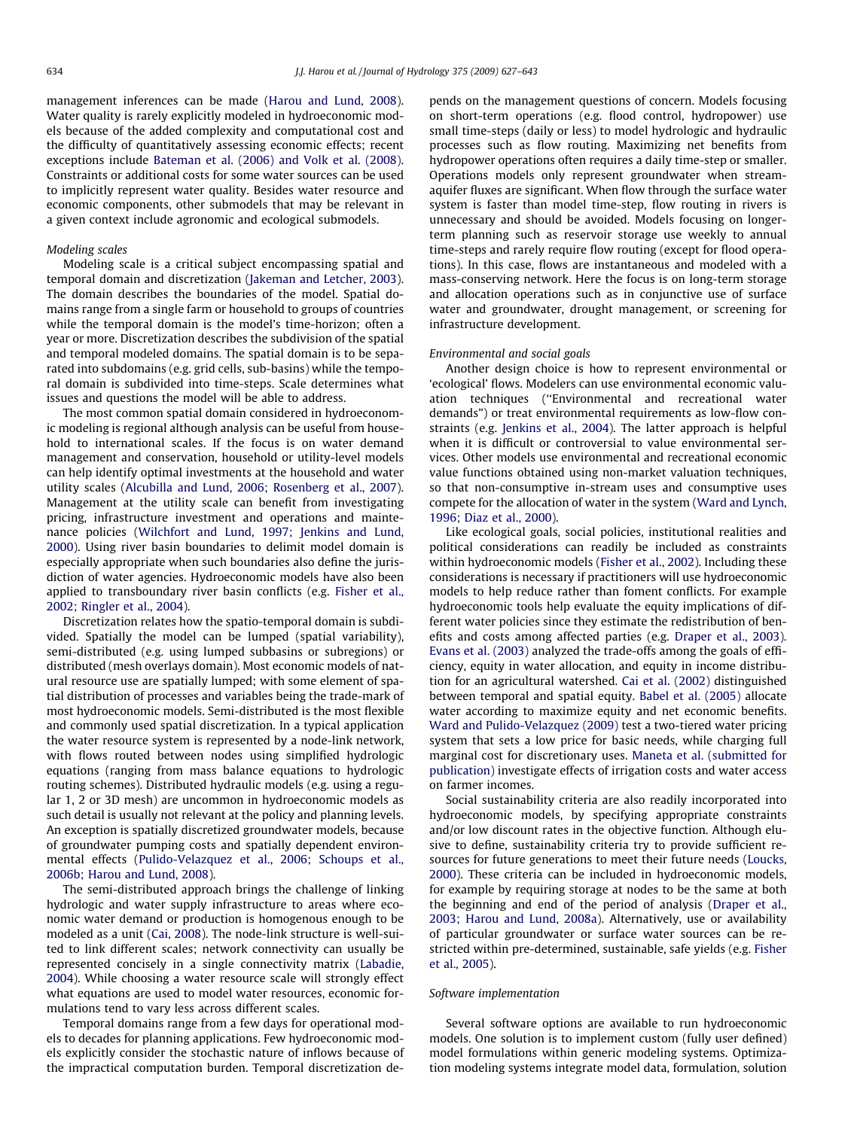management inferences can be made ([Harou and Lund, 2008\)](#page-14-0). Water quality is rarely explicitly modeled in hydroeconomic models because of the added complexity and computational cost and the difficulty of quantitatively assessing economic effects; recent exceptions include [Bateman et al. \(2006\) and Volk et al. \(2008\).](#page-13-0) Constraints or additional costs for some water sources can be used to implicitly represent water quality. Besides water resource and economic components, other submodels that may be relevant in a given context include agronomic and ecological submodels.

# Modeling scales

Modeling scale is a critical subject encompassing spatial and temporal domain and discretization [\(Jakeman and Letcher, 2003\)](#page-14-0). The domain describes the boundaries of the model. Spatial domains range from a single farm or household to groups of countries while the temporal domain is the model's time-horizon; often a year or more. Discretization describes the subdivision of the spatial and temporal modeled domains. The spatial domain is to be separated into subdomains (e.g. grid cells, sub-basins) while the temporal domain is subdivided into time-steps. Scale determines what issues and questions the model will be able to address.

The most common spatial domain considered in hydroeconomic modeling is regional although analysis can be useful from household to international scales. If the focus is on water demand management and conservation, household or utility-level models can help identify optimal investments at the household and water utility scales [\(Alcubilla and Lund, 2006; Rosenberg et al., 2007\)](#page-13-0). Management at the utility scale can benefit from investigating pricing, infrastructure investment and operations and maintenance policies [\(Wilchfort and Lund, 1997; Jenkins and Lund,](#page-16-0) [2000\)](#page-16-0). Using river basin boundaries to delimit model domain is especially appropriate when such boundaries also define the jurisdiction of water agencies. Hydroeconomic models have also been applied to transboundary river basin conflicts (e.g. [Fisher et al.,](#page-14-0) [2002; Ringler et al., 2004\)](#page-14-0).

Discretization relates how the spatio-temporal domain is subdivided. Spatially the model can be lumped (spatial variability), semi-distributed (e.g. using lumped subbasins or subregions) or distributed (mesh overlays domain). Most economic models of natural resource use are spatially lumped; with some element of spatial distribution of processes and variables being the trade-mark of most hydroeconomic models. Semi-distributed is the most flexible and commonly used spatial discretization. In a typical application the water resource system is represented by a node-link network, with flows routed between nodes using simplified hydrologic equations (ranging from mass balance equations to hydrologic routing schemes). Distributed hydraulic models (e.g. using a regular 1, 2 or 3D mesh) are uncommon in hydroeconomic models as such detail is usually not relevant at the policy and planning levels. An exception is spatially discretized groundwater models, because of groundwater pumping costs and spatially dependent environmental effects ([Pulido-Velazquez et al., 2006; Schoups et al.,](#page-15-0) [2006b; Harou and Lund, 2008\)](#page-15-0).

The semi-distributed approach brings the challenge of linking hydrologic and water supply infrastructure to areas where economic water demand or production is homogenous enough to be modeled as a unit [\(Cai, 2008](#page-13-0)). The node-link structure is well-suited to link different scales; network connectivity can usually be represented concisely in a single connectivity matrix ([Labadie,](#page-14-0) [2004\)](#page-14-0). While choosing a water resource scale will strongly effect what equations are used to model water resources, economic formulations tend to vary less across different scales.

Temporal domains range from a few days for operational models to decades for planning applications. Few hydroeconomic models explicitly consider the stochastic nature of inflows because of the impractical computation burden. Temporal discretization depends on the management questions of concern. Models focusing on short-term operations (e.g. flood control, hydropower) use small time-steps (daily or less) to model hydrologic and hydraulic processes such as flow routing. Maximizing net benefits from hydropower operations often requires a daily time-step or smaller. Operations models only represent groundwater when streamaquifer fluxes are significant. When flow through the surface water system is faster than model time-step, flow routing in rivers is unnecessary and should be avoided. Models focusing on longerterm planning such as reservoir storage use weekly to annual time-steps and rarely require flow routing (except for flood operations). In this case, flows are instantaneous and modeled with a mass-conserving network. Here the focus is on long-term storage and allocation operations such as in conjunctive use of surface water and groundwater, drought management, or screening for infrastructure development.

## Environmental and social goals

Another design choice is how to represent environmental or 'ecological' flows. Modelers can use environmental economic valuation techniques (''Environmental and recreational water demands") or treat environmental requirements as low-flow constraints (e.g. Jenkins et [al., 2004\)](#page-14-0). The latter approach is helpful when it is difficult or controversial to value environmental services. Other models use environmental and recreational economic value functions obtained using non-market valuation techniques, so that non-consumptive in-stream uses and consumptive uses compete for the allocation of water in the system ([Ward and Lynch,](#page-16-0) [1996; Diaz et al., 2000\)](#page-16-0).

Like ecological goals, social policies, institutional realities and political considerations can readily be included as constraints within hydroeconomic models ([Fisher et al., 2002\)](#page-14-0). Including these considerations is necessary if practitioners will use hydroeconomic models to help reduce rather than foment conflicts. For example hydroeconomic tools help evaluate the equity implications of different water policies since they estimate the redistribution of benefits and costs among affected parties (e.g. [Draper et al., 2003\)](#page-14-0). [Evans et al. \(2003\)](#page-14-0) analyzed the trade-offs among the goals of efficiency, equity in water allocation, and equity in income distribution for an agricultural watershed. [Cai et al. \(2002\)](#page-13-0) distinguished between temporal and spatial equity. [Babel et al. \(2005\)](#page-13-0) allocate water according to maximize equity and net economic benefits. [Ward and Pulido-Velazquez \(2009\)](#page-16-0) test a two-tiered water pricing system that sets a low price for basic needs, while charging full marginal cost for discretionary uses. [Maneta et al. \(submitted for](#page-15-0) [publication\)](#page-15-0) investigate effects of irrigation costs and water access on farmer incomes.

Social sustainability criteria are also readily incorporated into hydroeconomic models, by specifying appropriate constraints and/or low discount rates in the objective function. Although elusive to define, sustainability criteria try to provide sufficient resources for future generations to meet their future needs [\(Loucks,](#page-15-0) [2000](#page-15-0)). These criteria can be included in hydroeconomic models, for example by requiring storage at nodes to be the same at both the beginning and end of the period of analysis ([Draper et al.,](#page-14-0) [2003; Harou and Lund, 2008a\)](#page-14-0). Alternatively, use or availability of particular groundwater or surface water sources can be restricted within pre-determined, sustainable, safe yields (e.g. [Fisher](#page-14-0) [et al., 2005\)](#page-14-0).

# Software implementation

Several software options are available to run hydroeconomic models. One solution is to implement custom (fully user defined) model formulations within generic modeling systems. Optimization modeling systems integrate model data, formulation, solution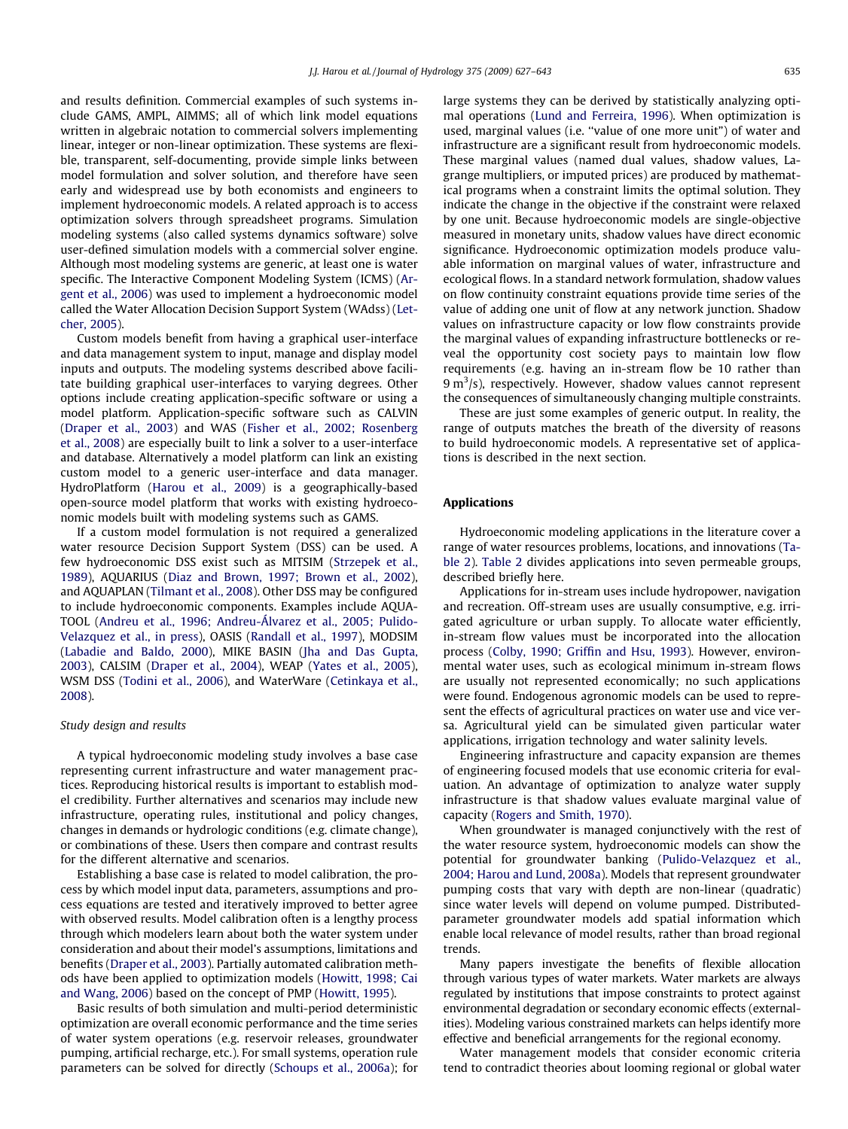and results definition. Commercial examples of such systems include GAMS, AMPL, AIMMS; all of which link model equations written in algebraic notation to commercial solvers implementing linear, integer or non-linear optimization. These systems are flexible, transparent, self-documenting, provide simple links between model formulation and solver solution, and therefore have seen early and widespread use by both economists and engineers to implement hydroeconomic models. A related approach is to access optimization solvers through spreadsheet programs. Simulation modeling systems (also called systems dynamics software) solve user-defined simulation models with a commercial solver engine. Although most modeling systems are generic, at least one is water specific. The Interactive Component Modeling System (ICMS) ([Ar](#page-13-0)[gent et al., 2006\)](#page-13-0) was used to implement a hydroeconomic model called the Water Allocation Decision Support System (WAdss) ([Let](#page-14-0)[cher, 2005](#page-14-0)).

Custom models benefit from having a graphical user-interface and data management system to input, manage and display model inputs and outputs. The modeling systems described above facilitate building graphical user-interfaces to varying degrees. Other options include creating application-specific software or using a model platform. Application-specific software such as CALVIN ([Draper et al., 2003\)](#page-14-0) and WAS ([Fisher et al., 2002; Rosenberg](#page-14-0) [et al., 2008](#page-14-0)) are especially built to link a solver to a user-interface and database. Alternatively a model platform can link an existing custom model to a generic user-interface and data manager. HydroPlatform [\(Harou et al., 2009\)](#page-14-0) is a geographically-based open-source model platform that works with existing hydroeconomic models built with modeling systems such as GAMS.

If a custom model formulation is not required a generalized water resource Decision Support System (DSS) can be used. A few hydroeconomic DSS exist such as MITSIM ([Strzepek et al.,](#page-15-0) [1989\)](#page-15-0), AQUARIUS [\(Diaz and Brown, 1997; Brown et al., 2002\)](#page-14-0), and AQUAPLAN ([Tilmant et al., 2008\)](#page-16-0). Other DSS may be configured to include hydroeconomic components. Examples include AQUA-TOOL ([Andreu et al., 1996; Andreu-Álvarez et al., 2005; Pulido-](#page-13-0)[Velazquez et al., in press](#page-13-0)), OASIS [\(Randall et al., 1997](#page-15-0)), MODSIM ([Labadie and Baldo, 2000](#page-14-0)), MIKE BASIN [\(Jha and Das Gupta,](#page-14-0) [2003](#page-14-0)), CALSIM [\(Draper et al., 2004\)](#page-14-0), WEAP ([Yates et al., 2005\)](#page-16-0), WSM DSS ([Todini et al., 2006\)](#page-16-0), and WaterWare [\(Cetinkaya et al.,](#page-13-0) [2008](#page-13-0)).

# Study design and results

A typical hydroeconomic modeling study involves a base case representing current infrastructure and water management practices. Reproducing historical results is important to establish model credibility. Further alternatives and scenarios may include new infrastructure, operating rules, institutional and policy changes, changes in demands or hydrologic conditions (e.g. climate change), or combinations of these. Users then compare and contrast results for the different alternative and scenarios.

Establishing a base case is related to model calibration, the process by which model input data, parameters, assumptions and process equations are tested and iteratively improved to better agree with observed results. Model calibration often is a lengthy process through which modelers learn about both the water system under consideration and about their model's assumptions, limitations and benefits [\(Draper et al., 2003\)](#page-14-0). Partially automated calibration methods have been applied to optimization models [\(Howitt, 1998; Cai](#page-14-0) [and Wang, 2006](#page-14-0)) based on the concept of PMP [\(Howitt, 1995\)](#page-14-0).

Basic results of both simulation and multi-period deterministic optimization are overall economic performance and the time series of water system operations (e.g. reservoir releases, groundwater pumping, artificial recharge, etc.). For small systems, operation rule parameters can be solved for directly ([Schoups et al., 2006a](#page-15-0)); for large systems they can be derived by statistically analyzing optimal operations [\(Lund and Ferreira, 1996\)](#page-15-0). When optimization is used, marginal values (i.e. ''value of one more unit") of water and infrastructure are a significant result from hydroeconomic models. These marginal values (named dual values, shadow values, Lagrange multipliers, or imputed prices) are produced by mathematical programs when a constraint limits the optimal solution. They indicate the change in the objective if the constraint were relaxed by one unit. Because hydroeconomic models are single-objective measured in monetary units, shadow values have direct economic significance. Hydroeconomic optimization models produce valuable information on marginal values of water, infrastructure and ecological flows. In a standard network formulation, shadow values on flow continuity constraint equations provide time series of the value of adding one unit of flow at any network junction. Shadow values on infrastructure capacity or low flow constraints provide the marginal values of expanding infrastructure bottlenecks or reveal the opportunity cost society pays to maintain low flow requirements (e.g. having an in-stream flow be 10 rather than  $9 \text{ m}^3$ /s), respectively. However, shadow values cannot represent the consequences of simultaneously changing multiple constraints.

These are just some examples of generic output. In reality, the range of outputs matches the breath of the diversity of reasons to build hydroeconomic models. A representative set of applications is described in the next section.

# Applications

Hydroeconomic modeling applications in the literature cover a range of water resources problems, locations, and innovations [\(Ta](#page-9-0)[ble 2\)](#page-9-0). [Table 2](#page-9-0) divides applications into seven permeable groups, described briefly here.

Applications for in-stream uses include hydropower, navigation and recreation. Off-stream uses are usually consumptive, e.g. irrigated agriculture or urban supply. To allocate water efficiently, in-stream flow values must be incorporated into the allocation process [\(Colby, 1990; Griffin and Hsu, 1993\)](#page-13-0). However, environmental water uses, such as ecological minimum in-stream flows are usually not represented economically; no such applications were found. Endogenous agronomic models can be used to represent the effects of agricultural practices on water use and vice versa. Agricultural yield can be simulated given particular water applications, irrigation technology and water salinity levels.

Engineering infrastructure and capacity expansion are themes of engineering focused models that use economic criteria for evaluation. An advantage of optimization to analyze water supply infrastructure is that shadow values evaluate marginal value of capacity [\(Rogers and Smith, 1970\)](#page-15-0).

When groundwater is managed conjunctively with the rest of the water resource system, hydroeconomic models can show the potential for groundwater banking [\(Pulido-Velazquez et al.,](#page-15-0) [2004; Harou and Lund, 2008a](#page-15-0)). Models that represent groundwater pumping costs that vary with depth are non-linear (quadratic) since water levels will depend on volume pumped. Distributedparameter groundwater models add spatial information which enable local relevance of model results, rather than broad regional trends.

Many papers investigate the benefits of flexible allocation through various types of water markets. Water markets are always regulated by institutions that impose constraints to protect against environmental degradation or secondary economic effects (externalities). Modeling various constrained markets can helps identify more effective and beneficial arrangements for the regional economy.

Water management models that consider economic criteria tend to contradict theories about looming regional or global water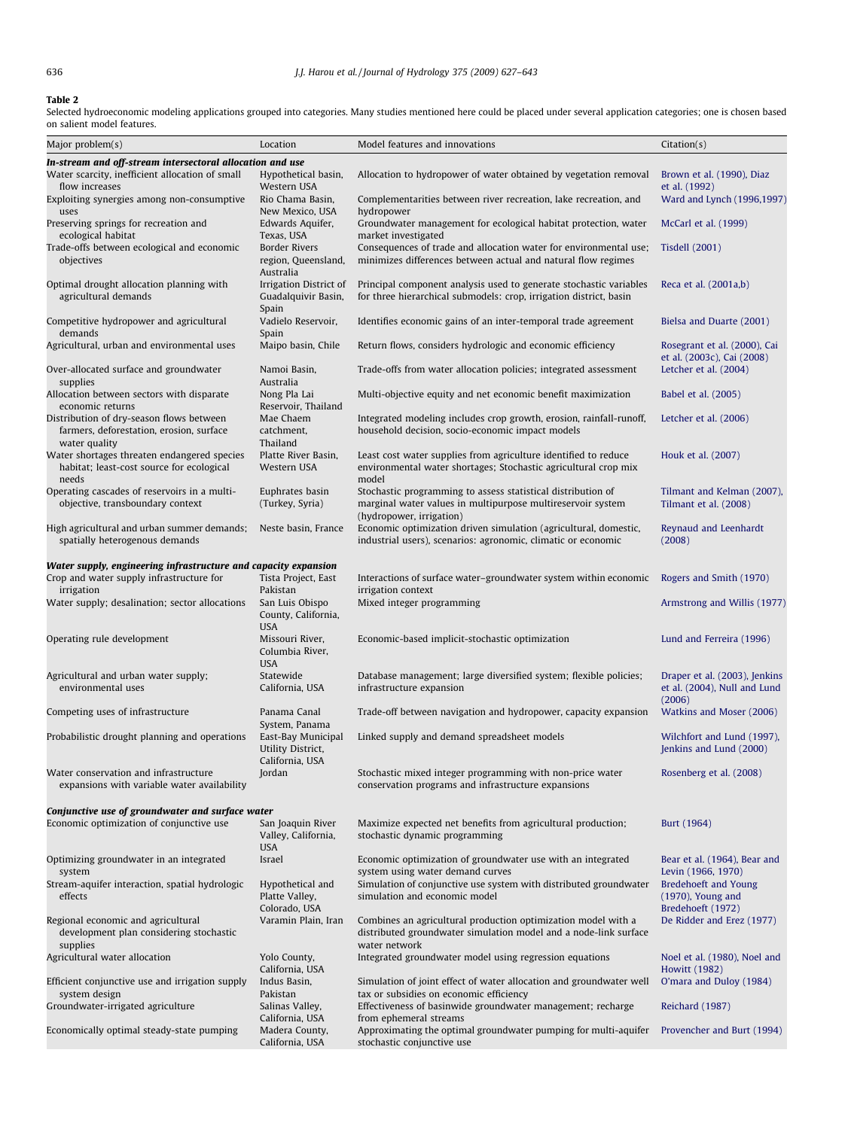#### <span id="page-9-0"></span>Table 2

Selected hydroeconomic modeling applications grouped into categories. Many studies mentioned here could be placed under several application categories; one is chosen based on salient model features.

| Major problem(s)                                                                                      | Location                                                       | Model features and innovations                                                                                                                          | Citation(s)                                                             |
|-------------------------------------------------------------------------------------------------------|----------------------------------------------------------------|---------------------------------------------------------------------------------------------------------------------------------------------------------|-------------------------------------------------------------------------|
| In-stream and off-stream intersectoral allocation and use                                             |                                                                |                                                                                                                                                         |                                                                         |
| Water scarcity, inefficient allocation of small<br>flow increases                                     | Hypothetical basin,<br>Western USA                             | Allocation to hydropower of water obtained by vegetation removal                                                                                        | Brown et al. (1990), Diaz<br>et al. (1992)                              |
| Exploiting synergies among non-consumptive<br>uses                                                    | Rio Chama Basin,<br>New Mexico, USA                            | Complementarities between river recreation, lake recreation, and<br>hydropower                                                                          | Ward and Lynch (1996,1997)                                              |
| Preserving springs for recreation and<br>ecological habitat                                           | Edwards Aquifer,<br>Texas, USA                                 | Groundwater management for ecological habitat protection, water<br>market investigated                                                                  | McCarl et al. (1999)                                                    |
| Trade-offs between ecological and economic<br>objectives                                              | Border Rivers<br>region, Queensland,<br>Australia              | Consequences of trade and allocation water for environmental use;<br>minimizes differences between actual and natural flow regimes                      | <b>Tisdell</b> (2001)                                                   |
| Optimal drought allocation planning with<br>agricultural demands                                      | Irrigation District of<br>Guadalquivir Basin,<br>Spain         | Principal component analysis used to generate stochastic variables<br>for three hierarchical submodels: crop, irrigation district, basin                | Reca et al. (2001a,b)                                                   |
| Competitive hydropower and agricultural<br>demands                                                    | Vadielo Reservoir,<br>Spain                                    | Identifies economic gains of an inter-temporal trade agreement                                                                                          | Bielsa and Duarte (2001)                                                |
| Agricultural, urban and environmental uses                                                            | Maipo basin, Chile                                             | Return flows, considers hydrologic and economic efficiency                                                                                              | Rosegrant et al. (2000), Cai<br>et al. (2003c), Cai (2008)              |
| Over-allocated surface and groundwater<br>supplies                                                    | Namoi Basin,<br>Australia                                      | Trade-offs from water allocation policies; integrated assessment                                                                                        | Letcher et al. (2004)                                                   |
| Allocation between sectors with disparate<br>economic returns                                         | Nong Pla Lai<br>Reservoir, Thailand                            | Multi-objective equity and net economic benefit maximization                                                                                            | Babel et al. (2005)                                                     |
| Distribution of dry-season flows between<br>farmers, deforestation, erosion, surface<br>water quality | Mae Chaem<br>catchment,<br>Thailand                            | Integrated modeling includes crop growth, erosion, rainfall-runoff,<br>household decision, socio-economic impact models                                 | Letcher et al. (2006)                                                   |
| Water shortages threaten endangered species<br>habitat; least-cost source for ecological<br>needs     | Platte River Basin,<br>Western USA                             | Least cost water supplies from agriculture identified to reduce<br>environmental water shortages; Stochastic agricultural crop mix<br>model             | Houk et al. (2007)                                                      |
| Operating cascades of reservoirs in a multi-<br>objective, transboundary context                      | Euphrates basin<br>(Turkey, Syria)                             | Stochastic programming to assess statistical distribution of<br>marginal water values in multipurpose multireservoir system<br>(hydropower, irrigation) | Tilmant and Kelman (2007),<br>Tilmant et al. (2008)                     |
| High agricultural and urban summer demands;<br>spatially heterogenous demands                         | Neste basin, France                                            | Economic optimization driven simulation (agricultural, domestic,<br>industrial users), scenarios: agronomic, climatic or economic                       | Reynaud and Leenhardt<br>(2008)                                         |
| Water supply, engineering infrastructure and capacity expansion                                       |                                                                |                                                                                                                                                         |                                                                         |
| Crop and water supply infrastructure for<br>irrigation                                                | Tista Project, East<br>Pakistan                                | Interactions of surface water-groundwater system within economic<br>irrigation context                                                                  | Rogers and Smith (1970)                                                 |
| Water supply; desalination; sector allocations                                                        | San Luis Obispo<br>County, California,                         | Mixed integer programming                                                                                                                               | Armstrong and Willis (1977)                                             |
| Operating rule development                                                                            | <b>USA</b><br>Missouri River,<br>Columbia River,<br><b>USA</b> | Economic-based implicit-stochastic optimization                                                                                                         | Lund and Ferreira (1996)                                                |
| Agricultural and urban water supply;<br>environmental uses                                            | Statewide<br>California, USA                                   | Database management; large diversified system; flexible policies;<br>infrastructure expansion                                                           | Draper et al. (2003), Jenkins<br>et al. (2004), Null and Lund<br>(2006) |
| Competing uses of infrastructure                                                                      | Panama Canal<br>System, Panama                                 | Trade-off between navigation and hydropower, capacity expansion                                                                                         | Watkins and Moser (2006)                                                |
| Probabilistic drought planning and operations                                                         | East-Bay Municipal<br>Utility District,<br>California, USA     | Linked supply and demand spreadsheet models                                                                                                             | Wilchfort and Lund (1997),<br>Jenkins and Lund (2000)                   |
| Water conservation and infrastructure<br>expansions with variable water availability                  | Jordan                                                         | Stochastic mixed integer programming with non-price water<br>conservation programs and infrastructure expansions                                        | Rosenberg et al. (2008)                                                 |
| Conjunctive use of groundwater and surface water                                                      |                                                                |                                                                                                                                                         |                                                                         |
| Economic optimization of conjunctive use                                                              | San Joaquin River<br>Valley, California,<br><b>USA</b>         | Maximize expected net benefits from agricultural production;<br>stochastic dynamic programming                                                          | Burt (1964)                                                             |
| Optimizing groundwater in an integrated<br>system                                                     | Israel                                                         | Economic optimization of groundwater use with an integrated<br>system using water demand curves                                                         | Bear et al. (1964), Bear and<br>Levin (1966, 1970)                      |
| Stream-aquifer interaction, spatial hydrologic<br>effects                                             | Hypothetical and<br>Platte Valley,<br>Colorado, USA            | Simulation of conjunctive use system with distributed groundwater<br>simulation and economic model                                                      | Bredehoeft and Young<br>$(1970)$ , Young and<br>Bredehoeft (1972)       |
| Regional economic and agricultural<br>development plan considering stochastic<br>supplies             | Varamin Plain, Iran                                            | Combines an agricultural production optimization model with a<br>distributed groundwater simulation model and a node-link surface<br>water network      | De Ridder and Erez (1977)                                               |
| Agricultural water allocation                                                                         | Yolo County,<br>California, USA                                | Integrated groundwater model using regression equations                                                                                                 | Noel et al. (1980), Noel and<br><b>Howitt (1982)</b>                    |
| Efficient conjunctive use and irrigation supply<br>system design                                      | Indus Basin,<br>Pakistan                                       | Simulation of joint effect of water allocation and groundwater well<br>tax or subsidies on economic efficiency                                          | O'mara and Duloy (1984)                                                 |
| Groundwater-irrigated agriculture                                                                     | Salinas Valley,<br>California, USA                             | Effectiveness of basinwide groundwater management; recharge<br>from ephemeral streams                                                                   | Reichard (1987)                                                         |
| Economically optimal steady-state pumping                                                             | Madera County,<br>California, USA                              | Approximating the optimal groundwater pumping for multi-aquifer<br>stochastic conjunctive use                                                           | Provencher and Burt (1994)                                              |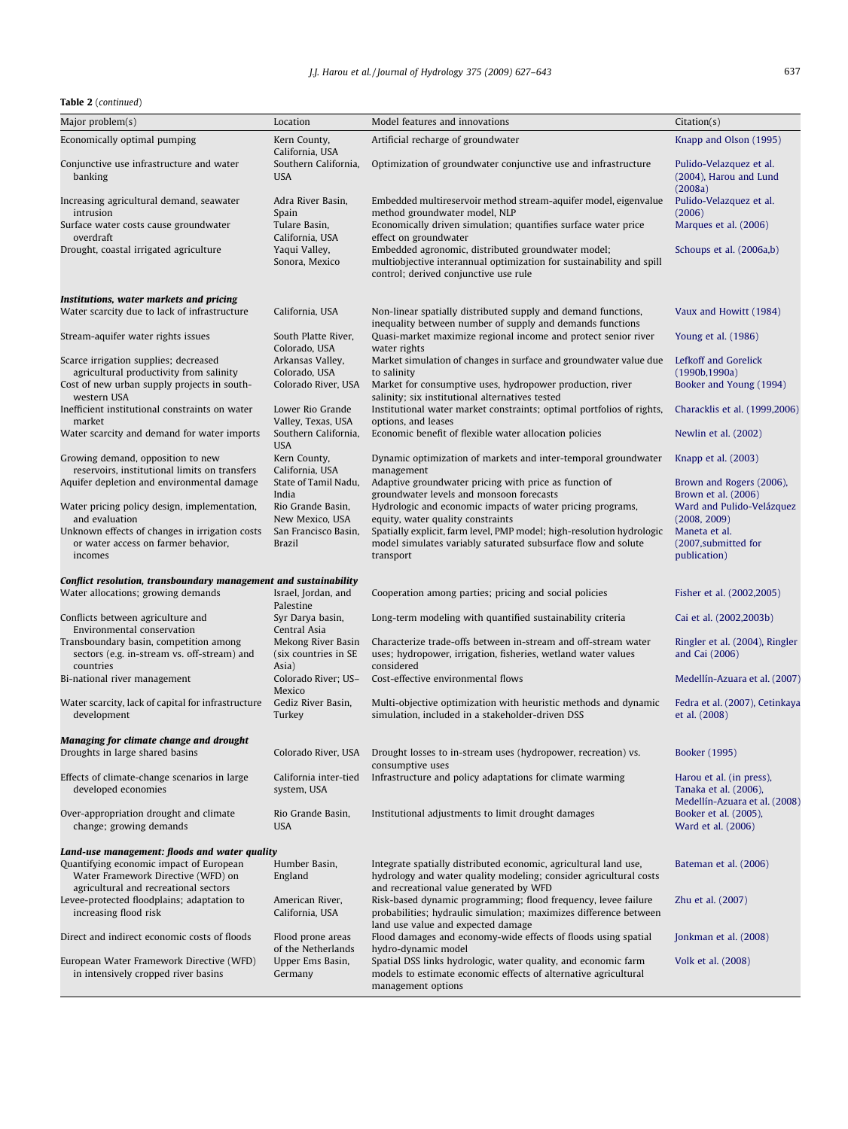# Table 2 (continued)

| Major problem(s)                                                                                                                                        | Location                                                                      | Model features and innovations                                                                                                                                                                                                            | Citation(s)                                                                        |
|---------------------------------------------------------------------------------------------------------------------------------------------------------|-------------------------------------------------------------------------------|-------------------------------------------------------------------------------------------------------------------------------------------------------------------------------------------------------------------------------------------|------------------------------------------------------------------------------------|
| Economically optimal pumping                                                                                                                            | Kern County,                                                                  | Artificial recharge of groundwater                                                                                                                                                                                                        | Knapp and Olson (1995)                                                             |
| Conjunctive use infrastructure and water<br>banking                                                                                                     | California, USA<br>Southern California,<br><b>USA</b>                         | Optimization of groundwater conjunctive use and infrastructure                                                                                                                                                                            | Pulido-Velazquez et al.<br>(2004), Harou and Lund<br>(2008a)                       |
| Increasing agricultural demand, seawater<br>intrusion                                                                                                   | Adra River Basin,<br>Spain                                                    | Embedded multireservoir method stream-aquifer model, eigenvalue<br>method groundwater model, NLP                                                                                                                                          | Pulido-Velazquez et al.<br>(2006)                                                  |
| Surface water costs cause groundwater                                                                                                                   | Tulare Basin,                                                                 | Economically driven simulation; quantifies surface water price                                                                                                                                                                            | Marques et al. (2006)                                                              |
| overdraft<br>Drought, coastal irrigated agriculture                                                                                                     | California, USA<br>Yaqui Valley,<br>Sonora, Mexico                            | effect on groundwater<br>Embedded agronomic, distributed groundwater model;<br>multiobjective interannual optimization for sustainability and spill<br>control; derived conjunctive use rule                                              | Schoups et al. (2006a,b)                                                           |
| Institutions, water markets and pricing                                                                                                                 |                                                                               |                                                                                                                                                                                                                                           |                                                                                    |
| Water scarcity due to lack of infrastructure                                                                                                            | California, USA                                                               | Non-linear spatially distributed supply and demand functions,<br>inequality between number of supply and demands functions                                                                                                                | Vaux and Howitt (1984)                                                             |
| Stream-aquifer water rights issues                                                                                                                      | South Platte River,<br>Colorado, USA                                          | Quasi-market maximize regional income and protect senior river<br>water rights                                                                                                                                                            | Young et al. (1986)                                                                |
| Scarce irrigation supplies; decreased<br>agricultural productivity from salinity<br>Cost of new urban supply projects in south-<br>western USA          | Arkansas Valley,<br>Colorado, USA<br>Colorado River, USA                      | Market simulation of changes in surface and groundwater value due<br>to salinity<br>Market for consumptive uses, hydropower production, river<br>salinity; six institutional alternatives tested                                          | Lefkoff and Gorelick<br>(1990b, 1990a)<br>Booker and Young (1994)                  |
| Inefficient institutional constraints on water<br>market                                                                                                | Lower Rio Grande<br>Valley, Texas, USA                                        | Institutional water market constraints; optimal portfolios of rights,<br>options, and leases                                                                                                                                              | Characklis et al. (1999,2006)                                                      |
| Water scarcity and demand for water imports                                                                                                             | Southern California,<br><b>USA</b>                                            | Economic benefit of flexible water allocation policies                                                                                                                                                                                    | Newlin et al. (2002)                                                               |
| Growing demand, opposition to new<br>reservoirs, institutional limits on transfers                                                                      | Kern County,<br>California, USA                                               | Dynamic optimization of markets and inter-temporal groundwater<br>management                                                                                                                                                              | Knapp et al. (2003)                                                                |
| Aquifer depletion and environmental damage                                                                                                              | State of Tamil Nadu,<br>India                                                 | Adaptive groundwater pricing with price as function of<br>groundwater levels and monsoon forecasts                                                                                                                                        | Brown and Rogers (2006),<br>Brown et al. (2006)                                    |
| Water pricing policy design, implementation,<br>and evaluation<br>Unknown effects of changes in irrigation costs<br>or water access on farmer behavior, | Rio Grande Basin,<br>New Mexico, USA<br>San Francisco Basin,<br><b>Brazil</b> | Hydrologic and economic impacts of water pricing programs,<br>equity, water quality constraints<br>Spatially explicit, farm level, PMP model; high-resolution hydrologic<br>model simulates variably saturated subsurface flow and solute | Ward and Pulido-Velázquez<br>(2008, 2009)<br>Maneta et al.<br>(2007, submitted for |
| incomes                                                                                                                                                 |                                                                               | transport                                                                                                                                                                                                                                 | publication)                                                                       |
| Conflict resolution, transboundary management and sustainability                                                                                        |                                                                               |                                                                                                                                                                                                                                           |                                                                                    |
| Water allocations; growing demands                                                                                                                      | Israel, Jordan, and<br>Palestine                                              | Cooperation among parties; pricing and social policies                                                                                                                                                                                    | Fisher et al. (2002,2005)                                                          |
| Conflicts between agriculture and<br>Environmental conservation                                                                                         | Syr Darya basin,<br>Central Asia                                              | Long-term modeling with quantified sustainability criteria                                                                                                                                                                                | Cai et al. (2002,2003b)                                                            |
| Transboundary basin, competition among<br>sectors (e.g. in-stream vs. off-stream) and                                                                   | Mekong River Basin<br>(six countries in SE                                    | Characterize trade-offs between in-stream and off-stream water<br>uses; hydropower, irrigation, fisheries, wetland water values                                                                                                           | Ringler et al. (2004), Ringler<br>and Cai (2006)                                   |
| countries<br>Bi-national river management                                                                                                               | Asia)<br>Colorado River; US-<br>Mexico                                        | considered<br>Cost-effective environmental flows                                                                                                                                                                                          | Medellín-Azuara et al. (2007)                                                      |
| Water scarcity, lack of capital for infrastructure<br>development                                                                                       | Gediz River Basin,<br>Turkey                                                  | Multi-objective optimization with heuristic methods and dynamic<br>simulation, included in a stakeholder-driven DSS                                                                                                                       | Fedra et al. (2007), Cetinkaya<br>et al. (2008)                                    |
| Managing for climate change and drought                                                                                                                 |                                                                               |                                                                                                                                                                                                                                           |                                                                                    |
| Droughts in large shared basins                                                                                                                         | Colorado River, USA                                                           | Drought losses to in-stream uses (hydropower, recreation) vs.<br>consumptive uses                                                                                                                                                         | Booker (1995)                                                                      |
| Effects of climate-change scenarios in large<br>developed economies                                                                                     | California inter-tied<br>system, USA                                          | Infrastructure and policy adaptations for climate warming                                                                                                                                                                                 | Harou et al. (in press),<br>Tanaka et al. (2006),<br>Medellín-Azuara et al. (2008) |
| Over-appropriation drought and climate<br>change; growing demands                                                                                       | Rio Grande Basin,<br>USA                                                      | Institutional adjustments to limit drought damages                                                                                                                                                                                        | Booker et al. (2005),<br>Ward et al. (2006)                                        |
| Land-use management: floods and water quality                                                                                                           |                                                                               |                                                                                                                                                                                                                                           |                                                                                    |
| Quantifying economic impact of European<br>Water Framework Directive (WFD) on<br>agricultural and recreational sectors                                  | Humber Basin,<br>England                                                      | Integrate spatially distributed economic, agricultural land use,<br>hydrology and water quality modeling; consider agricultural costs<br>and recreational value generated by WFD                                                          | Bateman et al. (2006)                                                              |
| Levee-protected floodplains; adaptation to<br>increasing flood risk                                                                                     | American River,<br>California, USA                                            | Risk-based dynamic programming; flood frequency, levee failure<br>probabilities; hydraulic simulation; maximizes difference between                                                                                                       | Zhu et al. (2007)                                                                  |
| Direct and indirect economic costs of floods                                                                                                            | Flood prone areas<br>of the Netherlands                                       | land use value and expected damage<br>Flood damages and economy-wide effects of floods using spatial<br>hydro-dynamic model                                                                                                               | Jonkman et al. (2008)                                                              |
| European Water Framework Directive (WFD)<br>in intensively cropped river basins                                                                         | Upper Ems Basin,<br>Germany                                                   | Spatial DSS links hydrologic, water quality, and economic farm<br>models to estimate economic effects of alternative agricultural<br>management options                                                                                   | Volk et al. (2008)                                                                 |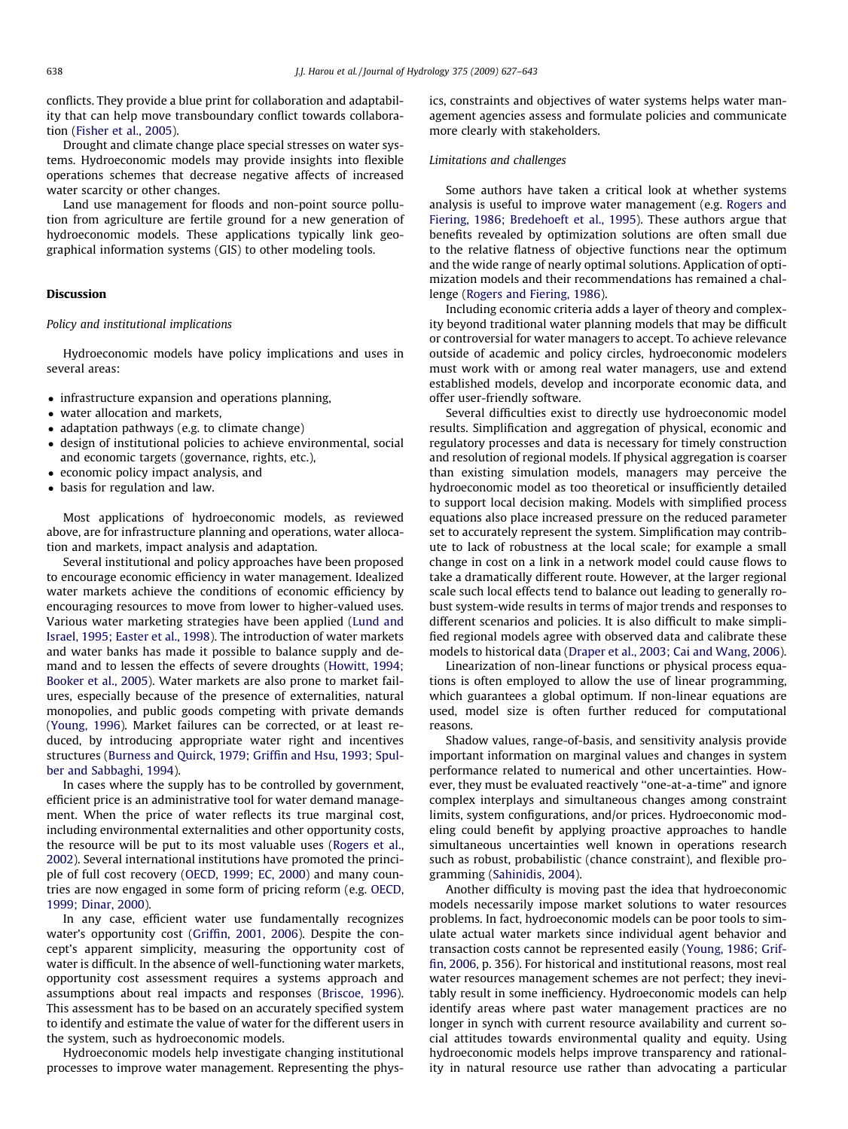conflicts. They provide a blue print for collaboration and adaptability that can help move transboundary conflict towards collaboration [\(Fisher et al., 2005\)](#page-14-0).

Drought and climate change place special stresses on water systems. Hydroeconomic models may provide insights into flexible operations schemes that decrease negative affects of increased water scarcity or other changes.

Land use management for floods and non-point source pollution from agriculture are fertile ground for a new generation of hydroeconomic models. These applications typically link geographical information systems (GIS) to other modeling tools.

# Discussion

## Policy and institutional implications

Hydroeconomic models have policy implications and uses in several areas:

- infrastructure expansion and operations planning,
- water allocation and markets,
- adaptation pathways (e.g. to climate change)
- design of institutional policies to achieve environmental, social and economic targets (governance, rights, etc.),
- economic policy impact analysis, and
- basis for regulation and law.

Most applications of hydroeconomic models, as reviewed above, are for infrastructure planning and operations, water allocation and markets, impact analysis and adaptation.

Several institutional and policy approaches have been proposed to encourage economic efficiency in water management. Idealized water markets achieve the conditions of economic efficiency by encouraging resources to move from lower to higher-valued uses. Various water marketing strategies have been applied ([Lund and](#page-15-0) [Israel, 1995; Easter et al., 1998\)](#page-15-0). The introduction of water markets and water banks has made it possible to balance supply and demand and to lessen the effects of severe droughts ([Howitt, 1994;](#page-14-0) [Booker et al., 2005\)](#page-14-0). Water markets are also prone to market failures, especially because of the presence of externalities, natural monopolies, and public goods competing with private demands ([Young, 1996\)](#page-16-0). Market failures can be corrected, or at least reduced, by introducing appropriate water right and incentives structures [\(Burness and Quirck, 1979; Griffin and Hsu, 1993; Spul](#page-13-0)[ber and Sabbaghi, 1994](#page-13-0)).

In cases where the supply has to be controlled by government, efficient price is an administrative tool for water demand management. When the price of water reflects its true marginal cost, including environmental externalities and other opportunity costs, the resource will be put to its most valuable uses ([Rogers et al.,](#page-15-0) [2002\)](#page-15-0). Several international institutions have promoted the principle of full cost recovery [\(OECD, 1999; EC, 2000\)](#page-15-0) and many countries are now engaged in some form of pricing reform (e.g. [OECD,](#page-15-0) [1999; Dinar, 2000](#page-15-0)).

In any case, efficient water use fundamentally recognizes water's opportunity cost ([Griffin, 2001, 2006](#page-14-0)). Despite the concept's apparent simplicity, measuring the opportunity cost of water is difficult. In the absence of well-functioning water markets, opportunity cost assessment requires a systems approach and assumptions about real impacts and responses [\(Briscoe, 1996\)](#page-13-0). This assessment has to be based on an accurately specified system to identify and estimate the value of water for the different users in the system, such as hydroeconomic models.

Hydroeconomic models help investigate changing institutional processes to improve water management. Representing the physics, constraints and objectives of water systems helps water management agencies assess and formulate policies and communicate more clearly with stakeholders.

# Limitations and challenges

Some authors have taken a critical look at whether systems analysis is useful to improve water management (e.g. [Rogers and](#page-15-0) [Fiering, 1986; Bredehoeft et al., 1995\)](#page-15-0). These authors argue that benefits revealed by optimization solutions are often small due to the relative flatness of objective functions near the optimum and the wide range of nearly optimal solutions. Application of optimization models and their recommendations has remained a challenge ([Rogers and Fiering, 1986\)](#page-15-0).

Including economic criteria adds a layer of theory and complexity beyond traditional water planning models that may be difficult or controversial for water managers to accept. To achieve relevance outside of academic and policy circles, hydroeconomic modelers must work with or among real water managers, use and extend established models, develop and incorporate economic data, and offer user-friendly software.

Several difficulties exist to directly use hydroeconomic model results. Simplification and aggregation of physical, economic and regulatory processes and data is necessary for timely construction and resolution of regional models. If physical aggregation is coarser than existing simulation models, managers may perceive the hydroeconomic model as too theoretical or insufficiently detailed to support local decision making. Models with simplified process equations also place increased pressure on the reduced parameter set to accurately represent the system. Simplification may contribute to lack of robustness at the local scale; for example a small change in cost on a link in a network model could cause flows to take a dramatically different route. However, at the larger regional scale such local effects tend to balance out leading to generally robust system-wide results in terms of major trends and responses to different scenarios and policies. It is also difficult to make simplified regional models agree with observed data and calibrate these models to historical data ([Draper et al., 2003; Cai and Wang, 2006\)](#page-14-0).

Linearization of non-linear functions or physical process equations is often employed to allow the use of linear programming, which guarantees a global optimum. If non-linear equations are used, model size is often further reduced for computational reasons.

Shadow values, range-of-basis, and sensitivity analysis provide important information on marginal values and changes in system performance related to numerical and other uncertainties. However, they must be evaluated reactively ''one-at-a-time" and ignore complex interplays and simultaneous changes among constraint limits, system configurations, and/or prices. Hydroeconomic modeling could benefit by applying proactive approaches to handle simultaneous uncertainties well known in operations research such as robust, probabilistic (chance constraint), and flexible programming [\(Sahinidis, 2004](#page-15-0)).

Another difficulty is moving past the idea that hydroeconomic models necessarily impose market solutions to water resources problems. In fact, hydroeconomic models can be poor tools to simulate actual water markets since individual agent behavior and transaction costs cannot be represented easily [\(Young, 1986; Grif](#page-16-0)[fin, 2006,](#page-16-0) p. 356). For historical and institutional reasons, most real water resources management schemes are not perfect; they inevitably result in some inefficiency. Hydroeconomic models can help identify areas where past water management practices are no longer in synch with current resource availability and current social attitudes towards environmental quality and equity. Using hydroeconomic models helps improve transparency and rationality in natural resource use rather than advocating a particular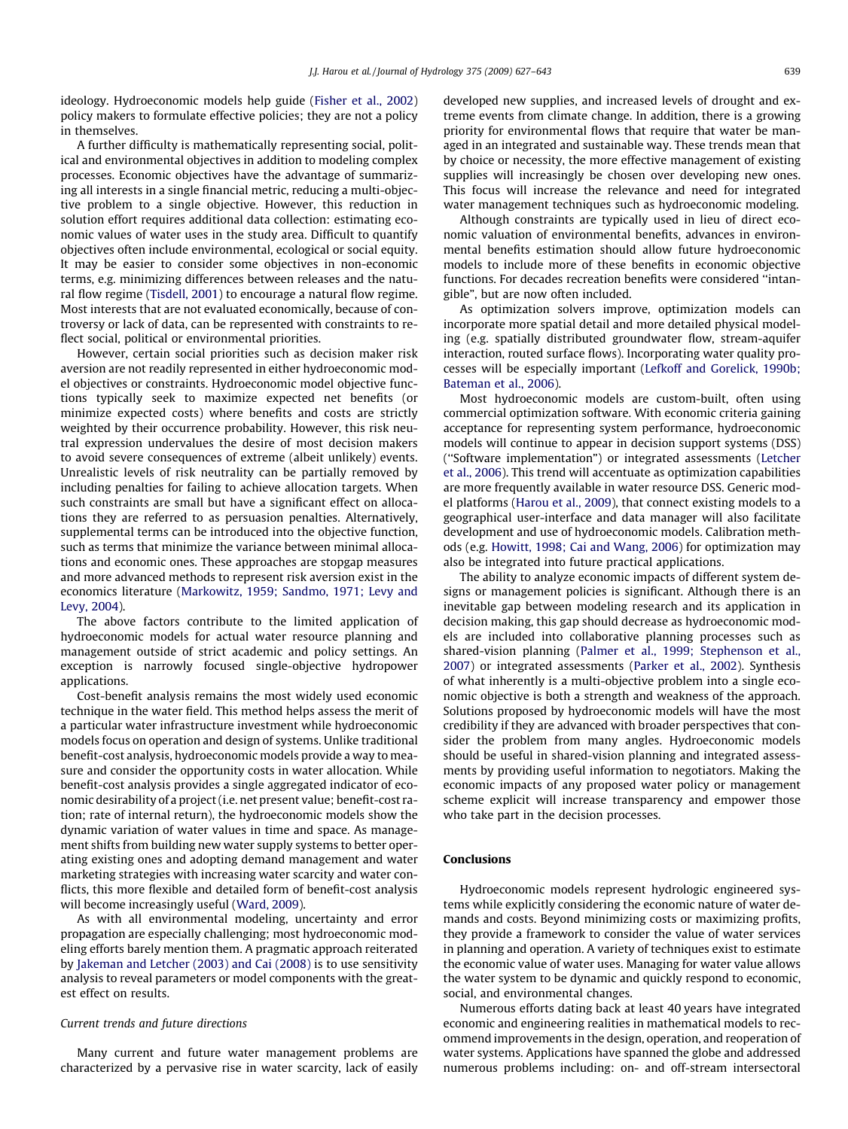ideology. Hydroeconomic models help guide ([Fisher et al., 2002\)](#page-14-0) policy makers to formulate effective policies; they are not a policy in themselves.

A further difficulty is mathematically representing social, political and environmental objectives in addition to modeling complex processes. Economic objectives have the advantage of summarizing all interests in a single financial metric, reducing a multi-objective problem to a single objective. However, this reduction in solution effort requires additional data collection: estimating economic values of water uses in the study area. Difficult to quantify objectives often include environmental, ecological or social equity. It may be easier to consider some objectives in non-economic terms, e.g. minimizing differences between releases and the natural flow regime ([Tisdell, 2001\)](#page-16-0) to encourage a natural flow regime. Most interests that are not evaluated economically, because of controversy or lack of data, can be represented with constraints to reflect social, political or environmental priorities.

However, certain social priorities such as decision maker risk aversion are not readily represented in either hydroeconomic model objectives or constraints. Hydroeconomic model objective functions typically seek to maximize expected net benefits (or minimize expected costs) where benefits and costs are strictly weighted by their occurrence probability. However, this risk neutral expression undervalues the desire of most decision makers to avoid severe consequences of extreme (albeit unlikely) events. Unrealistic levels of risk neutrality can be partially removed by including penalties for failing to achieve allocation targets. When such constraints are small but have a significant effect on allocations they are referred to as persuasion penalties. Alternatively, supplemental terms can be introduced into the objective function, such as terms that minimize the variance between minimal allocations and economic ones. These approaches are stopgap measures and more advanced methods to represent risk aversion exist in the economics literature [\(Markowitz, 1959; Sandmo, 1971; Levy and](#page-15-0) [Levy, 2004](#page-15-0)).

The above factors contribute to the limited application of hydroeconomic models for actual water resource planning and management outside of strict academic and policy settings. An exception is narrowly focused single-objective hydropower applications.

Cost-benefit analysis remains the most widely used economic technique in the water field. This method helps assess the merit of a particular water infrastructure investment while hydroeconomic models focus on operation and design of systems. Unlike traditional benefit-cost analysis, hydroeconomic models provide a way to measure and consider the opportunity costs in water allocation. While benefit-cost analysis provides a single aggregated indicator of economic desirability of a project (i.e. net present value; benefit-cost ration; rate of internal return), the hydroeconomic models show the dynamic variation of water values in time and space. As management shifts from building new water supply systems to better operating existing ones and adopting demand management and water marketing strategies with increasing water scarcity and water conflicts, this more flexible and detailed form of benefit-cost analysis will become increasingly useful [\(Ward, 2009\)](#page-16-0).

As with all environmental modeling, uncertainty and error propagation are especially challenging; most hydroeconomic modeling efforts barely mention them. A pragmatic approach reiterated by [Jakeman and Letcher \(2003\) and Cai \(2008\)](#page-14-0) is to use sensitivity analysis to reveal parameters or model components with the greatest effect on results.

# Current trends and future directions

Many current and future water management problems are characterized by a pervasive rise in water scarcity, lack of easily developed new supplies, and increased levels of drought and extreme events from climate change. In addition, there is a growing priority for environmental flows that require that water be managed in an integrated and sustainable way. These trends mean that by choice or necessity, the more effective management of existing supplies will increasingly be chosen over developing new ones. This focus will increase the relevance and need for integrated water management techniques such as hydroeconomic modeling.

Although constraints are typically used in lieu of direct economic valuation of environmental benefits, advances in environmental benefits estimation should allow future hydroeconomic models to include more of these benefits in economic objective functions. For decades recreation benefits were considered ''intangible", but are now often included.

As optimization solvers improve, optimization models can incorporate more spatial detail and more detailed physical modeling (e.g. spatially distributed groundwater flow, stream-aquifer interaction, routed surface flows). Incorporating water quality processes will be especially important [\(Lefkoff and Gorelick, 1990b;](#page-14-0) [Bateman et al., 2006](#page-14-0)).

Most hydroeconomic models are custom-built, often using commercial optimization software. With economic criteria gaining acceptance for representing system performance, hydroeconomic models will continue to appear in decision support systems (DSS) (''Software implementation") or integrated assessments ([Letcher](#page-15-0) [et al., 2006](#page-15-0)). This trend will accentuate as optimization capabilities are more frequently available in water resource DSS. Generic model platforms [\(Harou et al., 2009\)](#page-14-0), that connect existing models to a geographical user-interface and data manager will also facilitate development and use of hydroeconomic models. Calibration methods (e.g. [Howitt, 1998; Cai and Wang, 2006\)](#page-14-0) for optimization may also be integrated into future practical applications.

The ability to analyze economic impacts of different system designs or management policies is significant. Although there is an inevitable gap between modeling research and its application in decision making, this gap should decrease as hydroeconomic models are included into collaborative planning processes such as shared-vision planning ([Palmer et al., 1999; Stephenson et al.,](#page-15-0) [2007](#page-15-0)) or integrated assessments [\(Parker et al., 2002\)](#page-15-0). Synthesis of what inherently is a multi-objective problem into a single economic objective is both a strength and weakness of the approach. Solutions proposed by hydroeconomic models will have the most credibility if they are advanced with broader perspectives that consider the problem from many angles. Hydroeconomic models should be useful in shared-vision planning and integrated assessments by providing useful information to negotiators. Making the economic impacts of any proposed water policy or management scheme explicit will increase transparency and empower those who take part in the decision processes.

# Conclusions

Hydroeconomic models represent hydrologic engineered systems while explicitly considering the economic nature of water demands and costs. Beyond minimizing costs or maximizing profits, they provide a framework to consider the value of water services in planning and operation. A variety of techniques exist to estimate the economic value of water uses. Managing for water value allows the water system to be dynamic and quickly respond to economic, social, and environmental changes.

Numerous efforts dating back at least 40 years have integrated economic and engineering realities in mathematical models to recommend improvements in the design, operation, and reoperation of water systems. Applications have spanned the globe and addressed numerous problems including: on- and off-stream intersectoral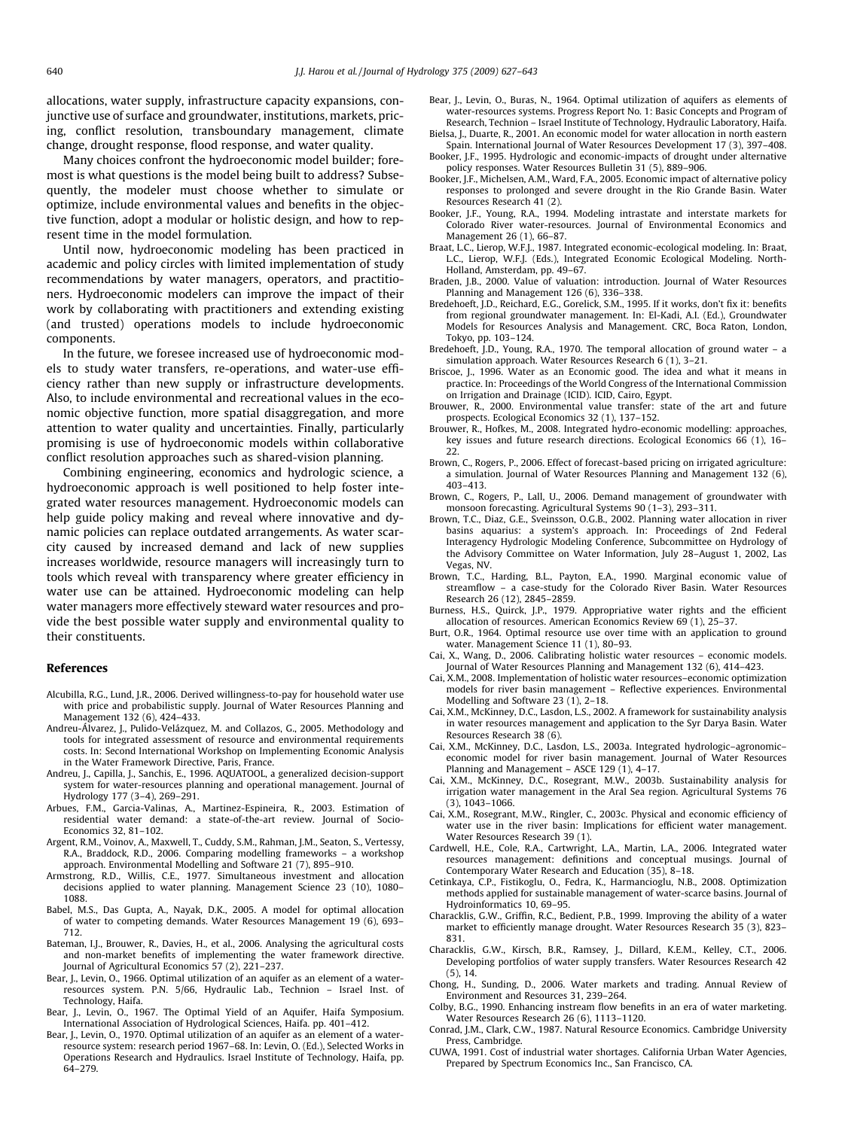<span id="page-13-0"></span>allocations, water supply, infrastructure capacity expansions, conjunctive use of surface and groundwater, institutions, markets, pricing, conflict resolution, transboundary management, climate change, drought response, flood response, and water quality.

Many choices confront the hydroeconomic model builder; foremost is what questions is the model being built to address? Subsequently, the modeler must choose whether to simulate or optimize, include environmental values and benefits in the objective function, adopt a modular or holistic design, and how to represent time in the model formulation.

Until now, hydroeconomic modeling has been practiced in academic and policy circles with limited implementation of study recommendations by water managers, operators, and practitioners. Hydroeconomic modelers can improve the impact of their work by collaborating with practitioners and extending existing (and trusted) operations models to include hydroeconomic components.

In the future, we foresee increased use of hydroeconomic models to study water transfers, re-operations, and water-use efficiency rather than new supply or infrastructure developments. Also, to include environmental and recreational values in the economic objective function, more spatial disaggregation, and more attention to water quality and uncertainties. Finally, particularly promising is use of hydroeconomic models within collaborative conflict resolution approaches such as shared-vision planning.

Combining engineering, economics and hydrologic science, a hydroeconomic approach is well positioned to help foster integrated water resources management. Hydroeconomic models can help guide policy making and reveal where innovative and dynamic policies can replace outdated arrangements. As water scarcity caused by increased demand and lack of new supplies increases worldwide, resource managers will increasingly turn to tools which reveal with transparency where greater efficiency in water use can be attained. Hydroeconomic modeling can help water managers more effectively steward water resources and provide the best possible water supply and environmental quality to their constituents.

#### References

- Alcubilla, R.G., Lund, J.R., 2006. Derived willingness-to-pay for household water use with price and probabilistic supply. Journal of Water Resources Planning and Management 132 (6), 424–433.
- Andreu-Álvarez, J., Pulido-Velázquez, M. and Collazos, G., 2005. Methodology and tools for integrated assessment of resource and environmental requirements costs. In: Second International Workshop on Implementing Economic Analysis in the Water Framework Directive, Paris, France.
- Andreu, J., Capilla, J., Sanchis, E., 1996. AQUATOOL, a generalized decision-support system for water-resources planning and operational management. Journal of Hydrology 177 (3–4), 269–291.
- Arbues, F.M., Garcia-Valinas, A., Martinez-Espineira, R., 2003. Estimation of residential water demand: a state-of-the-art review. Journal of Socio-Economics 32, 81–102.
- Argent, R.M., Voinov, A., Maxwell, T., Cuddy, S.M., Rahman, J.M., Seaton, S., Vertessy, R.A., Braddock, R.D., 2006. Comparing modelling frameworks – a workshop approach. Environmental Modelling and Software 21 (7), 895–910.
- Armstrong, R.D., Willis, C.E., 1977. Simultaneous investment and allocation decisions applied to water planning. Management Science 23 (10), 1080– 1088.
- Babel, M.S., Das Gupta, A., Nayak, D.K., 2005. A model for optimal allocation of water to competing demands. Water Resources Management 19 (6), 693– 712.
- Bateman, I.J., Brouwer, R., Davies, H., et al., 2006. Analysing the agricultural costs and non-market benefits of implementing the water framework directive. Journal of Agricultural Economics 57 (2), 221–237.
- Bear, J., Levin, O., 1966. Optimal utilization of an aquifer as an element of a waterresources system. P.N. 5/66, Hydraulic Lab., Technion – Israel Inst. of Technology, Haifa.
- Bear, J., Levin, O., 1967. The Optimal Yield of an Aquifer, Haifa Symposium. International Association of Hydrological Sciences, Haifa. pp. 401–412.
- Bear, J., Levin, O., 1970. Optimal utilization of an aquifer as an element of a waterresource system: research period 1967–68. In: Levin, O. (Ed.), Selected Works in Operations Research and Hydraulics. Israel Institute of Technology, Haifa, pp. 64–279.
- Bear, J., Levin, O., Buras, N., 1964. Optimal utilization of aquifers as elements of water-resources systems. Progress Report No. 1: Basic Concepts and Program of Research, Technion – Israel Institute of Technology, Hydraulic Laboratory, Haifa.
- Bielsa, J., Duarte, R., 2001. An economic model for water allocation in north eastern Spain. International Journal of Water Resources Development 17 (3), 397–408.
- Booker, J.F., 1995. Hydrologic and economic-impacts of drought under alternative policy responses. Water Resources Bulletin 31 (5), 889–906.
- Booker, J.F., Michelsen, A.M., Ward, F.A., 2005. Economic impact of alternative policy responses to prolonged and severe drought in the Rio Grande Basin. Water Resources Research 41 (2).
- Booker, J.F., Young, R.A., 1994. Modeling intrastate and interstate markets for Colorado River water-resources. Journal of Environmental Economics and Management 26 (1), 66–87.
- Braat, L.C., Lierop, W.F.J., 1987. Integrated economic-ecological modeling. In: Braat, L.C., Lierop, W.F.J. (Eds.), Integrated Economic Ecological Modeling. North-Holland, Amsterdam, pp. 49–67.
- Braden, J.B., 2000. Value of valuation: introduction. Journal of Water Resources Planning and Management 126 (6), 336–338.
- Bredehoeft, J.D., Reichard, E.G., Gorelick, S.M., 1995. If it works, don't fix it: benefits from regional groundwater management. In: El-Kadi, A.I. (Ed.), Groundwater Models for Resources Analysis and Management. CRC, Boca Raton, London, Tokyo, pp. 103–124.
- Bredehoeft, J.D., Young, R.A., 1970. The temporal allocation of ground water a simulation approach. Water Resources Research 6 (1), 3–21.
- Briscoe, J., 1996. Water as an Economic good. The idea and what it means in practice. In: Proceedings of the World Congress of the International Commission on Irrigation and Drainage (ICID). ICID, Cairo, Egypt.
- Brouwer, R., 2000. Environmental value transfer: state of the art and future prospects. Ecological Economics 32 (1), 137–152.
- Brouwer, R., Hofkes, M., 2008. Integrated hydro-economic modelling: approaches, key issues and future research directions. Ecological Economics 66 (1), 16– 22.
- Brown, C., Rogers, P., 2006. Effect of forecast-based pricing on irrigated agriculture: a simulation. Journal of Water Resources Planning and Management 132 (6), 403–413.
- Brown, C., Rogers, P., Lall, U., 2006. Demand management of groundwater with monsoon forecasting. Agricultural Systems 90 (1–3), 293–311.
- Brown, T.C., Diaz, G.E., Sveinsson, O.G.B., 2002. Planning water allocation in river basins aquarius: a system's approach. In: Proceedings of 2nd Federal Interagency Hydrologic Modeling Conference, Subcommittee on Hydrology of the Advisory Committee on Water Information, July 28–August 1, 2002, Las Vegas, NV.
- Brown, T.C., Harding, B.L., Payton, E.A., 1990. Marginal economic value of streamflow – a case-study for the Colorado River Basin. Water Resources Research 26 (12), 2845–2859.
- Burness, H.S., Quirck, J.P., 1979. Appropriative water rights and the efficient allocation of resources. American Economics Review 69 (1), 25–37.
- Burt, O.R., 1964. Optimal resource use over time with an application to ground water. Management Science 11 (1), 80–93.
- Cai, X., Wang, D., 2006. Calibrating holistic water resources economic models. Journal of Water Resources Planning and Management 132 (6), 414–423.
- Cai, X.M., 2008. Implementation of holistic water resources–economic optimization models for river basin management – Reflective experiences. Environmental
- Modelling and Software 23 (1), 2–18. Cai, X.M., McKinney, D.C., Lasdon, L.S., 2002. A framework for sustainability analysis in water resources management and application to the Syr Darya Basin. Water Resources Research 38 (6).
- Cai, X.M., McKinney, D.C., Lasdon, L.S., 2003a. Integrated hydrologic–agronomic– economic model for river basin management. Journal of Water Resources
- Planning and Management ASCE 129 (1), 4–17. Cai, X.M., McKinney, D.C., Rosegrant, M.W., 2003b. Sustainability analysis for irrigation water management in the Aral Sea region. Agricultural Systems 76 (3), 1043–1066.
- Cai, X.M., Rosegrant, M.W., Ringler, C., 2003c. Physical and economic efficiency of water use in the river basin: Implications for efficient water management. Water Resources Research 39 (1).
- Cardwell, H.E., Cole, R.A., Cartwright, L.A., Martin, L.A., 2006. Integrated water resources management: definitions and conceptual musings. Journal of Contemporary Water Research and Education (35), 8–18.
- Cetinkaya, C.P., Fistikoglu, O., Fedra, K., Harmancioglu, N.B., 2008. Optimization methods applied for sustainable management of water-scarce basins. Journal of Hydroinformatics 10, 69–95.
- Characklis, G.W., Griffin, R.C., Bedient, P.B., 1999. Improving the ability of a water market to efficiently manage drought. Water Resources Research 35 (3), 823– 831.
- Characklis, G.W., Kirsch, B.R., Ramsey, J., Dillard, K.E.M., Kelley, C.T., 2006. Developing portfolios of water supply transfers. Water Resources Research 42 (5), 14.
- Chong, H., Sunding, D., 2006. Water markets and trading. Annual Review of Environment and Resources 31, 239–264.
- Colby, B.G., 1990. Enhancing instream flow benefits in an era of water marketing. Water Resources Research 26 (6), 1113–1120.
- Conrad, J.M., Clark, C.W., 1987. Natural Resource Economics. Cambridge University Press, Cambridge.
- CUWA, 1991. Cost of industrial water shortages. California Urban Water Agencies, Prepared by Spectrum Economics Inc., San Francisco, CA.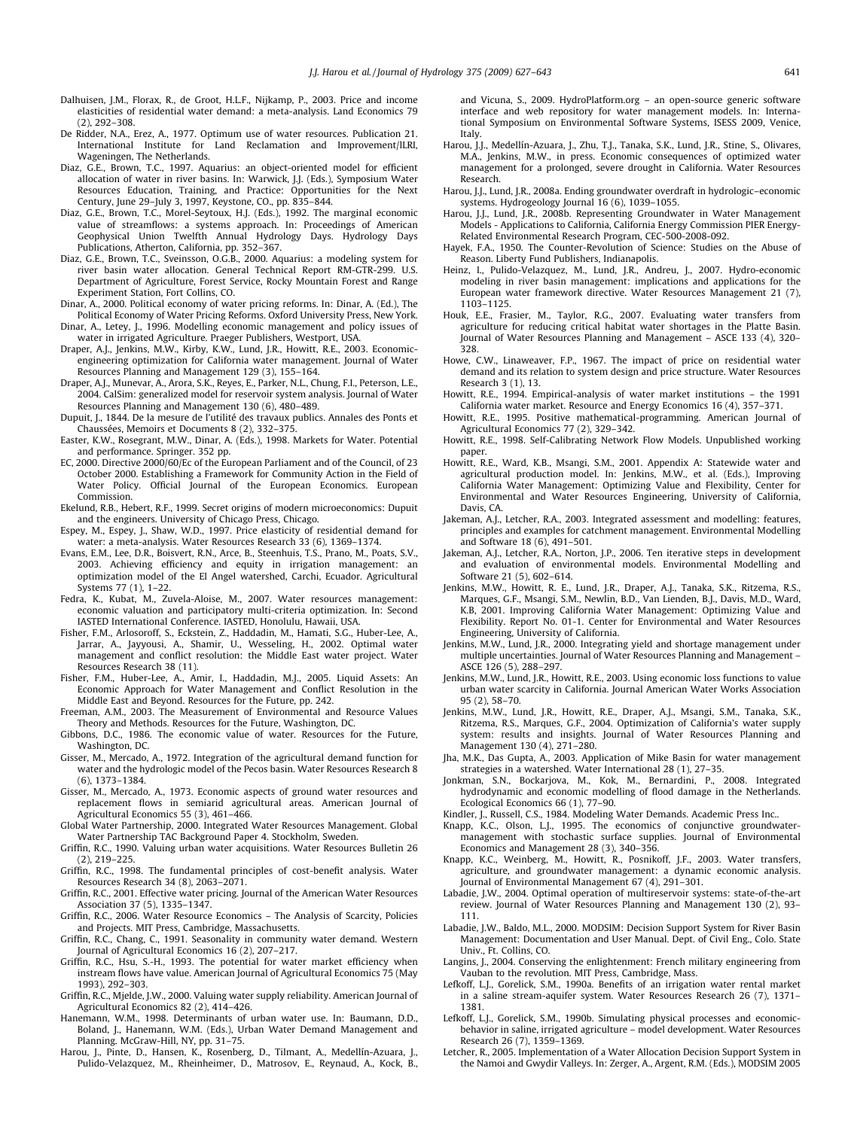- <span id="page-14-0"></span>Dalhuisen, J.M., Florax, R., de Groot, H.L.F., Nijkamp, P., 2003. Price and income elasticities of residential water demand: a meta-analysis. Land Economics 79 (2), 292–308.
- De Ridder, N.A., Erez, A., 1977. Optimum use of water resources. Publication 21. International Institute for Land Reclamation and Improvement/lLRI, Wageningen, The Netherlands.
- Diaz, G.E., Brown, T.C., 1997. Aquarius: an object-oriented model for efficient allocation of water in river basins. In: Warwick, J.J. (Eds.), Symposium Water Resources Education, Training, and Practice: Opportunities for the Next Century, June 29–July 3, 1997, Keystone, CO., pp. 835–844.
- Diaz, G.E., Brown, T.C., Morel-Seytoux, H.J. (Eds.), 1992. The marginal economic value of streamflows: a systems approach. In: Proceedings of American Geophysical Union Twelfth Annual Hydrology Days. Hydrology Days Publications, Atherton, California, pp. 352–367.
- Diaz, G.E., Brown, T.C., Sveinsson, O.G.B., 2000. Aquarius: a modeling system for river basin water allocation. General Technical Report RM-GTR-299. U.S. Department of Agriculture, Forest Service, Rocky Mountain Forest and Range Experiment Station, Fort Collins, CO.
- Dinar, A., 2000. Political economy of water pricing reforms. In: Dinar, A. (Ed.), The Political Economy of Water Pricing Reforms. Oxford University Press, New York.
- Dinar, A., Letey, J., 1996. Modelling economic management and policy issues of water in irrigated Agriculture. Praeger Publishers, Westport, USA.
- Draper, A.J., Jenkins, M.W., Kirby, K.W., Lund, J.R., Howitt, R.E., 2003. Economicengineering optimization for California water management. Journal of Water Resources Planning and Management 129 (3), 155–164.
- Draper, A.J., Munevar, A., Arora, S.K., Reyes, E., Parker, N.L., Chung, F.I., Peterson, L.E., 2004. CalSim: generalized model for reservoir system analysis. Journal of Water Resources Planning and Management 130 (6), 480–489.
- Dupuit, J., 1844. De la mesure de l'utilité des travaux publics. Annales des Ponts et Chaussées, Memoirs et Documents 8 (2), 332–375.
- Easter, K.W., Rosegrant, M.W., Dinar, A. (Eds.), 1998. Markets for Water. Potential and performance. Springer. 352 pp.
- EC, 2000. Directive 2000/60/Ec of the European Parliament and of the Council, of 23 October 2000. Establishing a Framework for Community Action in the Field of Water Policy. Official Journal of the European Economics. European Commission.
- Ekelund, R.B., Hebert, R.F., 1999. Secret origins of modern microeconomics: Dupuit and the engineers. University of Chicago Press, Chicago.
- Espey, M., Espey, J., Shaw, W.D., 1997. Price elasticity of residential demand for water: a meta-analysis. Water Resources Research 33 (6), 1369–1374.
- Evans, E.M., Lee, D.R., Boisvert, R.N., Arce, B., Steenhuis, T.S., Prano, M., Poats, S.V., 2003. Achieving efficiency and equity in irrigation management: an optimization model of the El Angel watershed, Carchi, Ecuador. Agricultural Systems 77 (1), 1–22.
- Fedra, K., Kubat, M., Zuvela-Aloise, M., 2007. Water resources management: economic valuation and participatory multi-criteria optimization. In: Second IASTED International Conference. IASTED, Honolulu, Hawaii, USA.
- Fisher, F.M., Arlosoroff, S., Eckstein, Z., Haddadin, M., Hamati, S.G., Huber-Lee, A., Jarrar, A., Jayyousi, A., Shamir, U., Wesseling, H., 2002. Optimal water management and conflict resolution: the Middle East water project. Water Resources Research 38 (11).
- Fisher, F.M., Huber-Lee, A., Amir, I., Haddadin, M.J., 2005. Liquid Assets: An Economic Approach for Water Management and Conflict Resolution in the Middle East and Beyond. Resources for the Future, pp. 242.
- Freeman, A.M., 2003. The Measurement of Environmental and Resource Values Theory and Methods. Resources for the Future, Washington, DC.
- Gibbons, D.C., 1986. The economic value of water. Resources for the Future, Washington, DC.
- Gisser, M., Mercado, A., 1972. Integration of the agricultural demand function for water and the hydrologic model of the Pecos basin. Water Resources Research 8 (6), 1373–1384.
- Gisser, M., Mercado, A., 1973. Economic aspects of ground water resources and replacement flows in semiarid agricultural areas. American Journal of Agricultural Economics 55 (3), 461–466.
- Global Water Partnership, 2000. Integrated Water Resources Management. Global Water Partnership TAC Background Paper 4. Stockholm, Sweden.
- Griffin, R.C., 1990. Valuing urban water acquisitions. Water Resources Bulletin 26 (2), 219–225.
- Griffin, R.C., 1998. The fundamental principles of cost-benefit analysis. Water Resources Research 34 (8), 2063–2071.
- Griffin, R.C., 2001. Effective water pricing. Journal of the American Water Resources Association 37 (5), 1335–1347.
- Griffin, R.C., 2006. Water Resource Economics The Analysis of Scarcity, Policies and Projects. MIT Press, Cambridge, Massachusetts.
- Griffin, R.C., Chang, C., 1991. Seasonality in community water demand. Western Journal of Agricultural Economics 16 (2), 207–217.
- Griffin, R.C., Hsu, S.-H., 1993. The potential for water market efficiency when instream flows have value. American Journal of Agricultural Economics 75 (May 1993), 292–303.
- Griffin, R.C., Mjelde, J.W., 2000. Valuing water supply reliability. American Journal of Agricultural Economics 82 (2), 414–426.
- Hanemann, W.M., 1998. Determinants of urban water use. In: Baumann, D.D., Boland, J., Hanemann, W.M. (Eds.), Urban Water Demand Management and Planning. McGraw-Hill, NY, pp. 31–75.
- Harou, J., Pinte, D., Hansen, K., Rosenberg, D., Tilmant, A., Medellín-Azuara, J., Pulido-Velazquez, M., Rheinheimer, D., Matrosov, E., Reynaud, A., Kock, B.,

and Vicuna, S., 2009. HydroPlatform.org – an open-source generic software interface and web repository for water management models. In: International Symposium on Environmental Software Systems, ISESS 2009, Venice, Italy.

- Harou, J.J., Medellín-Azuara, J., Zhu, T.J., Tanaka, S.K., Lund, J.R., Stine, S., Olivares, M.A., Jenkins, M.W., in press. Economic consequences of optimized water management for a prolonged, severe drought in California. Water Resources Research.
- Harou, J.J., Lund, J.R., 2008a. Ending groundwater overdraft in hydrologic–economic systems. Hydrogeology Journal 16 (6), 1039–1055.
- Harou, J.J., Lund, J.R., 2008b. Representing Groundwater in Water Management Models - Applications to California, California Energy Commission PIER Energy-Related Environmental Research Program, CEC-500-2008-092.
- Hayek, F.A., 1950. The Counter-Revolution of Science: Studies on the Abuse of Reason. Liberty Fund Publishers, Indianapolis.
- Heinz, I., Pulido-Velazquez, M., Lund, J.R., Andreu, J., 2007. Hydro-economic modeling in river basin management: implications and applications for the European water framework directive. Water Resources Management 21 (7), 1103–1125.
- Houk, E.E., Frasier, M., Taylor, R.G., 2007. Evaluating water transfers from agriculture for reducing critical habitat water shortages in the Platte Basin. Journal of Water Resources Planning and Management – ASCE 133 (4), 320– 328.
- Howe, C.W., Linaweaver, F.P., 1967. The impact of price on residential water demand and its relation to system design and price structure. Water Resources Research 3 (1), 13.
- Howitt, R.E., 1994. Empirical-analysis of water market institutions the 1991 California water market. Resource and Energy Economics 16 (4), 357–371.
- Howitt, R.E., 1995. Positive mathematical-programming. American Journal of Agricultural Economics 77 (2), 329–342.
- Howitt, R.E., 1998. Self-Calibrating Network Flow Models. Unpublished working paper.
- Howitt, R.E., Ward, K.B., Msangi, S.M., 2001. Appendix A: Statewide water and agricultural production model. In: Jenkins, M.W., et al. (Eds.), Improving California Water Management: Optimizing Value and Flexibility, Center for Environmental and Water Resources Engineering, University of California, Davis, CA.
- Jakeman, A.J., Letcher, R.A., 2003. Integrated assessment and modelling: features, principles and examples for catchment management. Environmental Modelling and Software 18 (6), 491–501.
- Jakeman, A.J., Letcher, R.A., Norton, J.P., 2006. Ten iterative steps in development and evaluation of environmental models. Environmental Modelling and Software 21 (5), 602–614.
- Jenkins, M.W., Howitt, R. E., Lund, J.R., Draper, A.J., Tanaka, S.K., Ritzema, R.S., Marques, G.F., Msangi, S.M., Newlin, B.D., Van Lienden, B.J., Davis, M.D., Ward, K.B, 2001. Improving California Water Management: Optimizing Value and Flexibility. Report No. 01-1. Center for Environmental and Water Resources Engineering, University of California.
- Jenkins, M.W., Lund, J.R., 2000. Integrating yield and shortage management under multiple uncertainties. Journal of Water Resources Planning and Management – ASCE 126 (5), 288–297.
- Jenkins, M.W., Lund, J.R., Howitt, R.E., 2003. Using economic loss functions to value urban water scarcity in California. Journal American Water Works Association 95 (2), 58–70.
- Jenkins, M.W., Lund, J.R., Howitt, R.E., Draper, A.J., Msangi, S.M., Tanaka, S.K., Ritzema, R.S., Marques, G.F., 2004. Optimization of California's water supply system: results and insights. Journal of Water Resources Planning and Management 130 (4), 271–280.
- Jha, M.K., Das Gupta, A., 2003. Application of Mike Basin for water management strategies in a watershed. Water International 28 (1), 27–35.
- Jonkman, S.N., Bockarjova, M., Kok, M., Bernardini, P., 2008. Integrated hydrodynamic and economic modelling of flood damage in the Netherlands. Ecological Economics 66 (1), 77–90.
- Kindler, J., Russell, C.S., 1984. Modeling Water Demands. Academic Press Inc..
- Knapp, K.C., Olson, L.J., 1995. The economics of conjunctive groundwatermanagement with stochastic surface supplies. Journal of Environmental Economics and Management 28 (3), 340–356.
- Knapp, K.C., Weinberg, M., Howitt, R., Posnikoff, J.F., 2003. Water transfers, agriculture, and groundwater management: a dynamic economic analysis. Journal of Environmental Management 67 (4), 291–301.
- Labadie, J.W., 2004. Optimal operation of multireservoir systems: state-of-the-art review. Journal of Water Resources Planning and Management 130 (2), 93– 111.
- Labadie, J.W., Baldo, M.L., 2000. MODSIM: Decision Support System for River Basin Management: Documentation and User Manual. Dept. of Civil Eng., Colo. State Univ., Ft. Collins, CO.
- Langins, J., 2004. Conserving the enlightenment: French military engineering from Vauban to the revolution. MIT Press, Cambridge, Mass.
- Lefkoff, L.J., Gorelick, S.M., 1990a. Benefits of an irrigation water rental market in a saline stream-aquifer system. Water Resources Research 26 (7), 1371– 1381.
- Lefkoff, L.J., Gorelick, S.M., 1990b. Simulating physical processes and economicbehavior in saline, irrigated agriculture – model development. Water Resources Research 26 (7), 1359–1369.
- Letcher, R., 2005. Implementation of a Water Allocation Decision Support System in the Namoi and Gwydir Valleys. In: Zerger, A., Argent, R.M. (Eds.), MODSIM 2005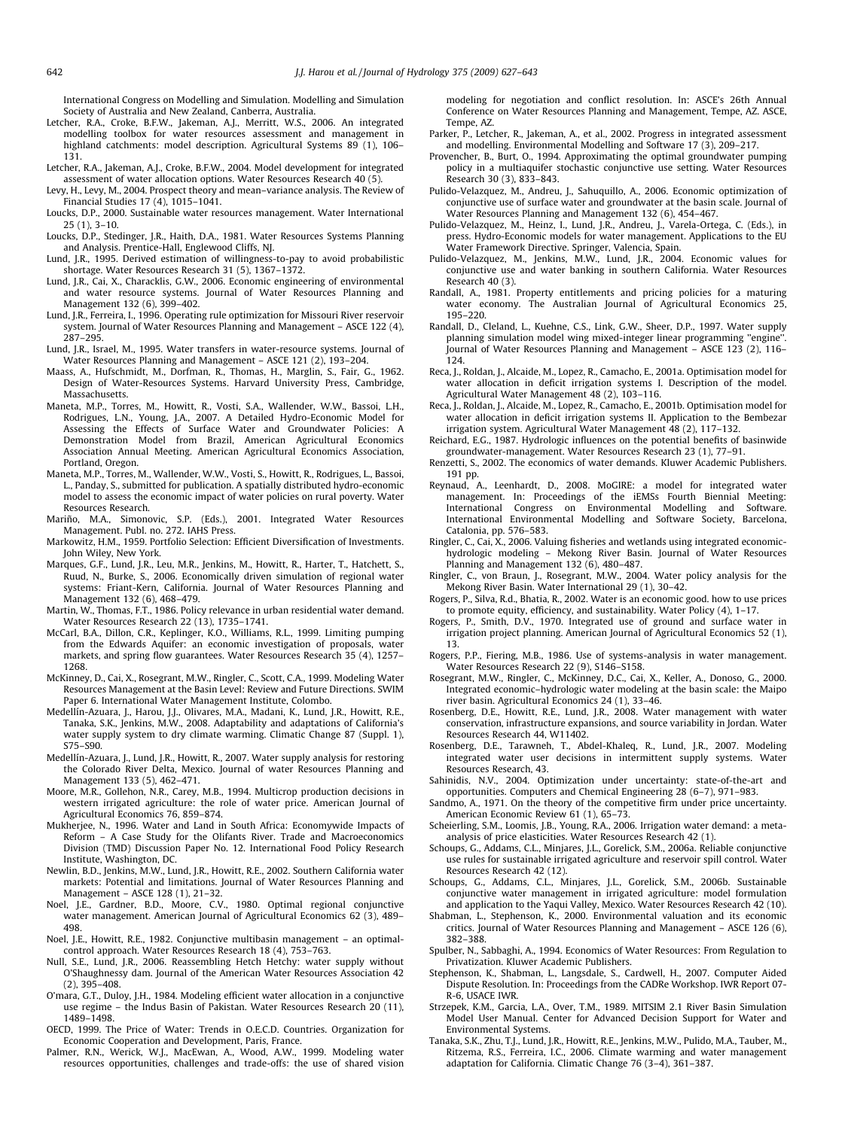<span id="page-15-0"></span>International Congress on Modelling and Simulation. Modelling and Simulation Society of Australia and New Zealand, Canberra, Australia.

- Letcher, R.A., Croke, B.F.W., Jakeman, A.J., Merritt, W.S., 2006. An integrated modelling toolbox for water resources assessment and management in highland catchments: model description. Agricultural Systems 89 (1), 106-131.
- Letcher, R.A., Jakeman, A.J., Croke, B.F.W., 2004. Model development for integrated assessment of water allocation options. Water Resources Research 40 (5).
- Levy, H., Levy, M., 2004. Prospect theory and mean–variance analysis. The Review of Financial Studies 17 (4), 1015–1041.
- Loucks, D.P., 2000. Sustainable water resources management. Water International 25 (1), 3–10.
- Loucks, D.P., Stedinger, J.R., Haith, D.A., 1981. Water Resources Systems Planning and Analysis. Prentice-Hall, Englewood Cliffs, NJ.
- Lund, J.R., 1995. Derived estimation of willingness-to-pay to avoid probabilistic shortage. Water Resources Research 31 (5), 1367–1372.
- Lund, J.R., Cai, X., Characklis, G.W., 2006. Economic engineering of environmental and water resource systems. Journal of Water Resources Planning and Management 132 (6), 399–402.
- Lund, J.R., Ferreira, I., 1996. Operating rule optimization for Missouri River reservoir system. Journal of Water Resources Planning and Management – ASCE 122 (4), 287–295.
- Lund, J.R., Israel, M., 1995. Water transfers in water-resource systems. Journal of Water Resources Planning and Management – ASCE 121 (2), 193–204.
- Maass, A., Hufschmidt, M., Dorfman, R., Thomas, H., Marglin, S., Fair, G., 1962. Design of Water-Resources Systems. Harvard University Press, Cambridge, Massachusetts.
- Maneta, M.P., Torres, M., Howitt, R., Vosti, S.A., Wallender, W.W., Bassoi, L.H., Rodrigues, L.N., Young, J.A., 2007. A Detailed Hydro-Economic Model for Assessing the Effects of Surface Water and Groundwater Policies: A Demonstration Model from Brazil, American Agricultural Economics Association Annual Meeting. American Agricultural Economics Association, Portland, Oregon.
- Maneta, M.P., Torres, M., Wallender, W.W., Vosti, S., Howitt, R., Rodrigues, L., Bassoi, L., Panday, S., submitted for publication. A spatially distributed hydro-economic model to assess the economic impact of water policies on rural poverty. Water Resources Research.
- Mariño, M.A., Simonovic, S.P. (Eds.), 2001. Integrated Water Resources Management. Publ. no. 272. IAHS Press.
- Markowitz, H.M., 1959. Portfolio Selection: Efficient Diversification of Investments. John Wiley, New York.
- Marques, G.F., Lund, J.R., Leu, M.R., Jenkins, M., Howitt, R., Harter, T., Hatchett, S., Ruud, N., Burke, S., 2006. Economically driven simulation of regional water systems: Friant-Kern, California. Journal of Water Resources Planning and Management 132 (6), 468–479.
- Martin, W., Thomas, F.T., 1986. Policy relevance in urban residential water demand. Water Resources Research 22 (13), 1735–1741.
- McCarl, B.A., Dillon, C.R., Keplinger, K.O., Williams, R.L., 1999. Limiting pumping from the Edwards Aquifer: an economic investigation of proposals, water markets, and spring flow guarantees. Water Resources Research 35 (4), 1257– 1268.
- McKinney, D., Cai, X., Rosegrant, M.W., Ringler, C., Scott, C.A., 1999. Modeling Water Resources Management at the Basin Level: Review and Future Directions. SWIM Paper 6. International Water Management Institute, Colombo.
- Medellín-Azuara, J., Harou, J.J., Olivares, M.A., Madani, K., Lund, J.R., Howitt, R.E., Tanaka, S.K., Jenkins, M.W., 2008. Adaptability and adaptations of California's water supply system to dry climate warming. Climatic Change 87 (Suppl. 1), S75–S90.
- Medellín-Azuara, J., Lund, J.R., Howitt, R., 2007. Water supply analysis for restoring the Colorado River Delta, Mexico. Journal of water Resources Planning and Management 133 (5), 462–471.
- Moore, M.R., Gollehon, N.R., Carey, M.B., 1994. Multicrop production decisions in western irrigated agriculture: the role of water price. American Journal of Agricultural Economics 76, 859–874.
- Mukherjee, N., 1996. Water and Land in South Africa: Economywide Impacts of Reform – A Case Study for the Olifants River. Trade and Macroeconomics Division (TMD) Discussion Paper No. 12. International Food Policy Research Institute, Washington, DC.
- Newlin, B.D., Jenkins, M.W., Lund, J.R., Howitt, R.E., 2002. Southern California water markets: Potential and limitations. Journal of Water Resources Planning and Management – ASCE 128 (1), 21–32.
- Noel, J.E., Gardner, B.D., Moore, C.V., 1980. Optimal regional conjunctive water management. American Journal of Agricultural Economics 62 (3), 489– 498.
- Noel, J.E., Howitt, R.E., 1982. Conjunctive multibasin management an optimalcontrol approach. Water Resources Research 18 (4), 753–763.
- Null, S.E., Lund, J.R., 2006. Reassembling Hetch Hetchy: water supply without O'Shaughnessy dam. Journal of the American Water Resources Association 42 (2), 395–408.
- O'mara, G.T., Duloy, J.H., 1984. Modeling efficient water allocation in a conjunctive use regime – the Indus Basin of Pakistan. Water Resources Research 20 (11), 1489–1498.
- OECD, 1999. The Price of Water: Trends in O.E.C.D. Countries. Organization for Economic Cooperation and Development, Paris, France.
- Palmer, R.N., Werick, W.J., MacEwan, A., Wood, A.W., 1999. Modeling water resources opportunities, challenges and trade-offs: the use of shared vision

modeling for negotiation and conflict resolution. In: ASCE's 26th Annual Conference on Water Resources Planning and Management, Tempe, AZ. ASCE, Tempe, AZ.

- Parker, P., Letcher, R., Jakeman, A., et al., 2002. Progress in integrated assessment and modelling. Environmental Modelling and Software 17 (3), 209–217.
- Provencher, B., Burt, O., 1994. Approximating the optimal groundwater pumping policy in a multiaquifer stochastic conjunctive use setting. Water Resources Research 30 (3), 833–843.
- Pulido-Velazquez, M., Andreu, J., Sahuquillo, A., 2006. Economic optimization of conjunctive use of surface water and groundwater at the basin scale. Journal of Water Resources Planning and Management 132 (6), 454–467.
- Pulido-Velazquez, M., Heinz, I., Lund, J.R., Andreu, J., Varela-Ortega, C. (Eds.), in press. Hydro-Economic models for water management. Applications to the EU Water Framework Directive. Springer, Valencia, Spain.
- Pulido-Velazquez, M., Jenkins, M.W., Lund, J.R., 2004. Economic values for conjunctive use and water banking in southern California. Water Resources Research 40 (3).
- Randall, A., 1981. Property entitlements and pricing policies for a maturing water economy. The Australian Journal of Agricultural Economics 25, 195–220.
- Randall, D., Cleland, L., Kuehne, C.S., Link, G.W., Sheer, D.P., 1997. Water supply planning simulation model wing mixed-integer linear programming "engine' Journal of Water Resources Planning and Management – ASCE 123 (2), 116– 124.
- Reca, J., Roldan, J., Alcaide, M., Lopez, R., Camacho, E., 2001a. Optimisation model for water allocation in deficit irrigation systems I. Description of the model. Agricultural Water Management 48 (2), 103–116.
- Reca, J., Roldan, J., Alcaide, M., Lopez, R., Camacho, E., 2001b. Optimisation model for water allocation in deficit irrigation systems II. Application to the Bembezar irrigation system. Agricultural Water Management 48 (2), 117-132.
- Reichard, E.G., 1987. Hydrologic influences on the potential benefits of basinwide groundwater-management. Water Resources Research 23 (1), 77–91.
- Renzetti, S., 2002. The economics of water demands. Kluwer Academic Publishers. 191 pp.
- Reynaud, A., Leenhardt, D., 2008. MoGIRE: a model for integrated water management. In: Proceedings of the iEMSs Fourth Biennial Meeting: International Congress on Environmental Modelling and Software. International Environmental Modelling and Software Society, Barcelona, Catalonia, pp. 576–583.
- Ringler, C., Cai, X., 2006. Valuing fisheries and wetlands using integrated economichydrologic modeling – Mekong River Basin. Journal of Water Resources Planning and Management 132 (6), 480–487.
- Ringler, C., von Braun, J., Rosegrant, M.W., 2004. Water policy analysis for the Mekong River Basin. Water International 29 (1), 30–42.
- Rogers, P., Silva, R.d., Bhatia, R., 2002. Water is an economic good. how to use prices to promote equity, efficiency, and sustainability. Water Policy (4), 1–17.
- Rogers, P., Smith, D.V., 1970. Integrated use of ground and surface water in irrigation project planning. American Journal of Agricultural Economics 52 (1), 13.
- Rogers, P.P., Fiering, M.B., 1986. Use of systems-analysis in water management. Water Resources Research 22 (9), S146–S158.
- Rosegrant, M.W., Ringler, C., McKinney, D.C., Cai, X., Keller, A., Donoso, G., 2000. Integrated economic–hydrologic water modeling at the basin scale: the Maipo
- river basin. Agricultural Economics 24 (1), 33–46. Rosenberg, D.E., Howitt, R.E., Lund, J.R., 2008. Water management with water conservation, infrastructure expansions, and source variability in Jordan. Water Resources Research 44, W11402.
- Rosenberg, D.E., Tarawneh, T., Abdel-Khaleq, R., Lund, J.R., 2007. Modeling integrated water user decisions in intermittent supply systems. Water Resources Research, 43.
- Sahinidis, N.V., 2004. Optimization under uncertainty: state-of-the-art and opportunities. Computers and Chemical Engineering 28 (6–7), 971–983.
- Sandmo, A., 1971. On the theory of the competitive firm under price uncertainty. American Economic Review 61 (1), 65–73.
- Scheierling, S.M., Loomis, J.B., Young, R.A., 2006. Irrigation water demand: a metaanalysis of price elasticities. Water Resources Research 42 (1).
- Schoups, G., Addams, C.L., Minjares, J.L., Gorelick, S.M., 2006a. Reliable conjunctive use rules for sustainable irrigated agriculture and reservoir spill control. Water Resources Research 42 (12).
- Schoups, G., Addams, C.L., Minjares, J.L., Gorelick, S.M., 2006b. Sustainable conjunctive water management in irrigated agriculture: model formulation and application to the Yaqui Valley, Mexico. Water Resources Research 42 (10).
- Shabman, L., Stephenson, K., 2000. Environmental valuation and its economic critics. Journal of Water Resources Planning and Management – ASCE 126 (6), 382–388.
- Spulber, N., Sabbaghi, A., 1994. Economics of Water Resources: From Regulation to Privatization. Kluwer Academic Publishers.
- Stephenson, K., Shabman, L., Langsdale, S., Cardwell, H., 2007. Computer Aided Dispute Resolution. In: Proceedings from the CADRe Workshop. IWR Report 07- R-6, USACE IWR.
- Strzepek, K.M., Garcia, L.A., Over, T.M., 1989. MITSIM 2.1 River Basin Simulation Model User Manual. Center for Advanced Decision Support for Water and Environmental Systems.
- Tanaka, S.K., Zhu, T.J., Lund, J.R., Howitt, R.E., Jenkins, M.W., Pulido, M.A., Tauber, M., Ritzema, R.S., Ferreira, I.C., 2006. Climate warming and water management adaptation for California. Climatic Change 76 (3–4), 361–387.